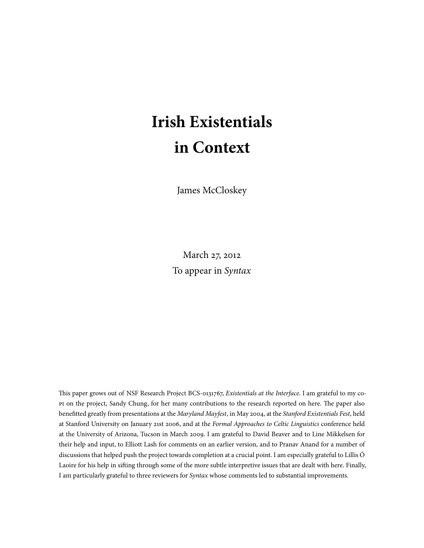# **Irish Existentials in Context**

James McCloskey

March 27, 2012 To appear in Syntax

This paper grows out of NSF Research Project BCS-0131767, Existentials at the Interface. I am grateful to my copt on the project, Sandy Chung, for her many contributions to the research reported on here. The paper also benefitted greatly from presentations at the Maryland Mayfest, in May 2004, at the Stanford Existentials Fest, held at Stanford University on January 21st 2006, and at the Formal Approaches to Celtic Linguistics conference held at the University of Arizona, Tucson in March 2009. I am grateful to David Beaver and to Line Mikkelsen for their help and input, to Elliott Lash for comments on an earlier version, and to Pranav Anand for a number of discussions that helped push the project towards completion at a crucial point. I am especially grateful to Lillis Ó Laoire for his help in sifting through some of the more subtle interpretive issues that are dealt with here. Finally, I am particularly grateful to three reviewers for Syntax whose comments led to substantial improvements.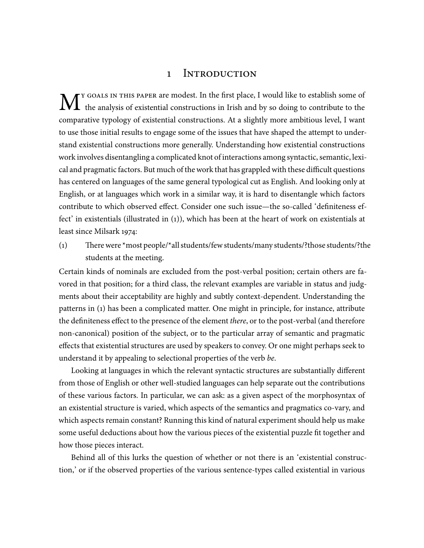# 1 INTRODUCTION

 $\mathbf{M}^{\text{r}}$  do the analysis of existential constructions in Irish and by so doing to contribute to the set of the analysis of existential constructions in Irish and by so doing to contribute to the Y GOALS IN THIS PAPER are modest. In the first place, I would like to establish some of comparative typology of existential constructions. At a slightly more ambitious level, I want to use those initial results to engage some of the issues that have shaped the attempt to understand existential constructions more generally. Understanding how existential constructions work involves disentangling a complicated knot of interactions among syntactic, semantic, lexical and pragmatic factors. But much of the work that has grappled with these difficult questions has centered on languages of the same general typological cut as English. And looking only at English, or at languages which work in a similar way, it is hard to disentangle which factors contribute to which observed effect. Consider one such issue—the so-called 'definiteness effect' in existentials (illustrated in  $(1)$ ), which has been at the heart of work on existentials at least since Milsark 1974:

(1) There were \*most people/\*all students/few students/many students/?those students/?the students at the meeting.

Certain kinds of nominals are excluded from the post-verbal position; certain others are favored in that position; for a third class, the relevant examples are variable in status and judgments about their acceptability are highly and subtly context-dependent. Understanding the patterns in () has been a complicated matter. One might in principle, for instance, attribute the definiteness effect to the presence of the element there, or to the post-verbal (and therefore non-canonical) position of the subject, or to the particular array of semantic and pragmatic effects that existential structures are used by speakers to convey. Or one might perhaps seek to understand it by appealing to selectional properties of the verb be.

Looking at languages in which the relevant syntactic structures are substantially different from those of English or other well-studied languages can help separate out the contributions of these various factors. In particular, we can ask: as a given aspect of the morphosyntax of an existential structure is varied, which aspects of the semantics and pragmatics co-vary, and which aspects remain constant? Running this kind of natural experiment should help us make some useful deductions about how the various pieces of the existential puzzle fit together and how those pieces interact.

Behind all of this lurks the question of whether or not there is an 'existential construction,' or if the observed properties of the various sentence-types called existential in various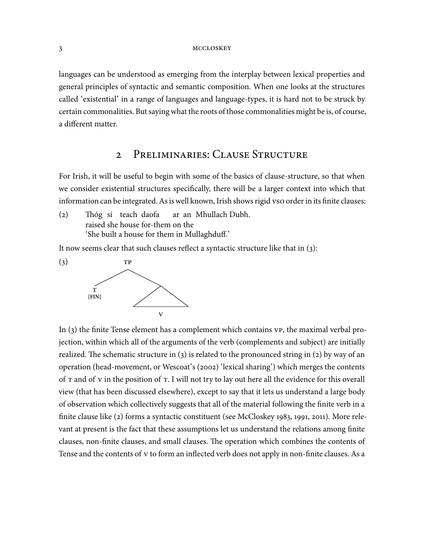languages can be understood as emerging from the interplay between lexical properties and general principles of syntactic and semantic composition. When one looks at the structures called 'existential' in a range of languages and language-types, it is hard not to be struck by certain commonalities. But saying what the roots of those commonalities might be is, of course, a different matter.

# 2 PRELIMINARIES: CLAUSE STRUCTURE

For Irish, it will be useful to begin with some of the basics of clause-structure, so that when we consider existential structures specifically, there will be a larger context into which that information can be integrated. As is well known, Irish shows rigid vso order in its finite clauses:

(2) Thóg sí teach daofa raised she house for-them on the ar an Mhullach Dubh. 'She built a house for them in Mullaghduff.'

It now seems clear that such clauses reflect a syntactic structure like that in  $(3)$ :



In  $(3)$  the finite Tense element has a complement which contains  $VP$ , the maximal verbal projection, within which all of the arguments of the verb (complements and subject) are initially realized. The schematic structure in (3) is related to the pronounced string in (2) by way of an operation (head-movement, or Wescoat's (2002) 'lexical sharing') which merges the contents of T and of v in the position of T. I will not try to lay out here all the evidence for this overall view (that has been discussed elsewhere), except to say that it lets us understand a large body of observation which collectively suggests that all of the material following the finite verb in a finite clause like  $(z)$  forms a syntactic constituent (see McCloskey 1983, 1991, 2011). More relevant at present is the fact that these assumptions let us understand the relations among finite clauses, non-finite clauses, and small clauses. The operation which combines the contents of Tense and the contents of v to form an inflected verb does not apply in non-finite clauses. As a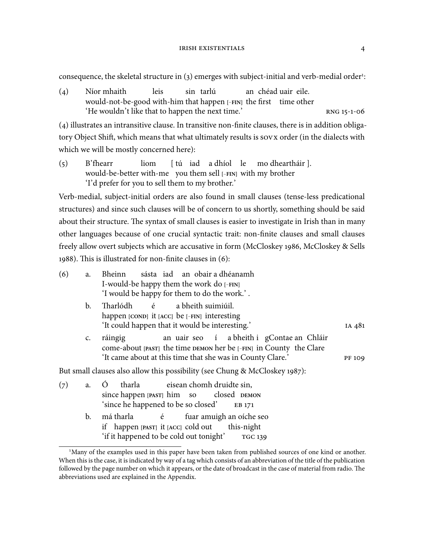#### IRISH EXISTENTIALS 4

consequence, the skeletal structure in (3) emerges with subject-initial and verb-medial order<sup>1</sup>:

() Níor mhaith would-not-be-good with-him that happen **[**−**FIN]** the first time other leis sin tarlú an chéad uair eile.  $'He$  wouldn't like that to happen the next time.'  $RNG_15-1-06$ 

() illustrates an intransitive clause. In transitive non-finite clauses, there is in addition obligatory Object Shift, which means that what ultimately results is sovx order (in the dialects with which we will be mostly concerned here):

() B'fhearr would-be-better with-me you them sell **[**−**FIN]** with my brother liom [tú iad a dhíol le mo dheartháir ]. 'I'd prefer for you to sell them to my brother.'

Verb-medial, subject-initial orders are also found in small clauses (tense-less predicational structures) and since such clauses will be of concern to us shortly, something should be said about their structure. The syntax of small clauses is easier to investigate in Irish than in many other languages because of one crucial syntactic trait: non-finite clauses and small clauses freely allow overt subjects which are accusative in form (McCloskey 1986, McCloskey & Sells 1988). This is illustrated for non-finite clauses in  $(6)$ :

| (6) | a.             | sásta iad an obair a dhéanamh<br>Bheinn                                                                                     |               |
|-----|----------------|-----------------------------------------------------------------------------------------------------------------------------|---------------|
|     |                | I-would-be happy them the work do [-FIN]                                                                                    |               |
|     |                | 'I would be happy for them to do the work.'.                                                                                |               |
|     | $\mathbf{b}$ . | Tharlódh é a bheith suimiúil.<br>happen [COND] it [ACC] be [-FIN] interesting                                               |               |
|     |                | 'It could happen that it would be interesting.'                                                                             | IA 481        |
|     | $\mathsf{C}$ . | an uair seo í a bheith i gContae an Chláir<br>ráingig<br>Come-about [PAST] the time DEMON her be [-FIN] in County the Clare |               |
|     |                | 'It came about at this time that she was in County Clare.'                                                                  | <b>PF 109</b> |
|     |                | But small clauses also allow this possibility (see Chung & McCloskey 1987):                                                 |               |
| (7) |                | tharla eisean chomh druidte sin,<br>a. O                                                                                    |               |
|     |                | since happen [PAST] him so closed DEMON                                                                                     |               |
|     |                | since he happened to be so closed'<br>EB 171                                                                                |               |
|     | b.             | má tharla é fuar amuigh an oíche seo                                                                                        |               |
|     |                | if happen [PAST] it [ACC] cold out this-night                                                                               |               |

'if it happened to be cold out tonight' <sup>1</sup>Many of the examples used in this paper have been taken from published sources of one kind or another. When this is the case, it is indicated by way of a tag which consists of an abbreviation of the title of the publication followed by the page number on which it appears, or the date of broadcast in the case of material from radio. The abbreviations used are explained in the Appendix.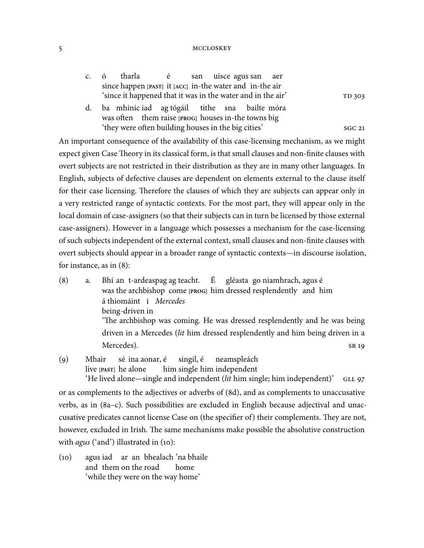|  | c. ó tharla é san uisce-agus-san aer                        |  |  |  |        |
|--|-------------------------------------------------------------|--|--|--|--------|
|  | since happen [PAST] it [ACC] in-the water and in-the air    |  |  |  |        |
|  | 'since it happened that it was in the water and in the air' |  |  |  | TD 303 |
|  | d. ba mhiniciad ag tógáil tithe sna bailte móra             |  |  |  |        |

was often them raise [PROG] houses in-the towns big 'they were often building houses in the big cities' sGC 21

An important consequence of the availability of this case-licensing mechanism, as we might expect given Case Theory in its classical form, is that small clauses and non-finite clauses with overt subjects are not restricted in their distribution as they are in many other languages. In English, subjects of defective clauses are dependent on elements external to the clause itself for their case licensing. Therefore the clauses of which they are subjects can appear only in a very restricted range of syntactic contexts. For the most part, they will appear only in the local domain of case-assigners (so that their subjects can in turn be licensed by those external case-assigners). However in a language which possesses a mechanism for the case-licensing of such subjects independent of the external context, small clauses and non-finite clauses with overt subjects should appear in a broader range of syntactic contexts—in discourse isolation, for instance, as in  $(8)$ :

- () a. Bhí an t-ardeaspag ag teacht. was the archbishop come **[PROG]** him dressed resplendently and him É gléasta go niamhrach, agus é á thiomáint i Mercedes being-driven in 'The archbishop was coming. He was dressed resplendently and he was being driven in a Mercedes (lit him dressed resplendently and him being driven in a Mercedes). SR 19
- () Mhair live **[PAST]** he alone sé ina aonar, é him single him independent singil, é neamspleách 'He lived alone—single and independent (lit him single; him independent)' GLL 97

or as complements to the adjectives or adverbs of (8d), and as complements to unaccusative verbs, as in (a–c). Such possibilities are excluded in English because adjectival and unaccusative predicates cannot license Case on (the specifier of) their complements. They are not, however, excluded in Irish. The same mechanisms make possible the absolutive construction with  $agus$  ('and') illustrated in (10):

() agus iad ar an bhealach 'na bhaile and them on the road home 'while they were on the way home'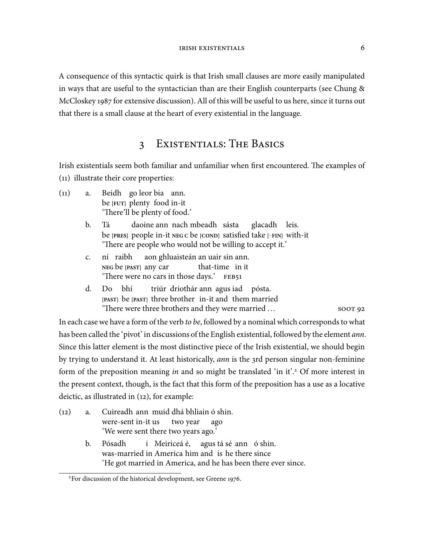A consequence of this syntactic quirk is that Irish small clauses are more easily manipulated in ways that are useful to the syntactician than are their English counterparts (see Chung & McCloskey 1987 for extensive discussion). All of this will be useful to us here, since it turns out that there is a small clause at the heart of every existential in the language.

# 3 EXISTENTIALS: THE BASICS

Irish existentials seem both familiar and unfamiliar when first encountered. The examples of  $(11)$  illustrate their core properties:

- () a. Beidh go leor bia ann. be **[FUT]** plenty food in-it 'There'll be plenty of food.'
	- b. Tá be **[PRES]** people in-it **NEG C** be **[COND]** satisfied take **[**−**FIN]** with-it daoine ann nach mbeadh sásta glacadh leis. 'There are people who would not be willing to accept it.'
	- c. ní **NEG** be **[PAST]** any car ní raibh aon ghluaisteán an uair sin ann. that-time in it 'There were no cars in those days.' FEB51
	- d. **[PAST]** be **[PAST]** three brother in-it and them married Do bhí triúr driothár ann agus iad pósta. 'There were three brothers and they were married  $\dots$  soor 92

In each case we have a form of the verb to be, followed by a nominal which corresponds to what has been called the 'pivot' in discussions of the English existential, followed by the element *ann*. Since this latter element is the most distinctive piece of the Irish existential, we should begin by trying to understand it. At least historically, *ann* is the 3rd person singular non-feminine form of the preposition meaning *in* and so might be translated 'in it'.<sup>2</sup> Of more interest in the present context, though, is the fact that this form of the preposition has a use as a locative deictic, as illustrated in  $(12)$ , for example:

() a. Cuireadh ann muid dhá bhliain ó shin. were-sent in-it us two year ago 'We were sent there two years ago.' b. Pósadh was-married in America him and is he there since i Meiriceá é, agus tá sé ann ó shin. 'He got married in America, and he has been there ever since.

<sup>&</sup>lt;sup>2</sup>For discussion of the historical development, see Greene 1976.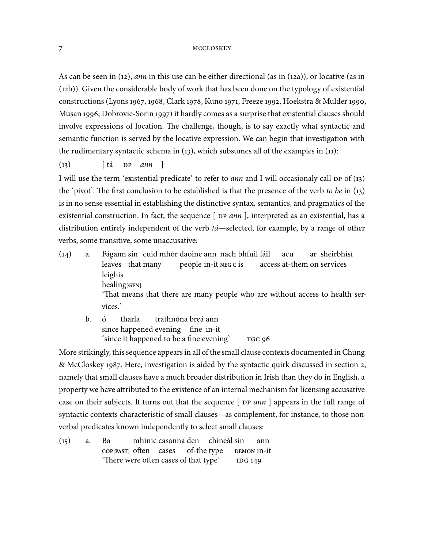As can be seen in (12), ann in this use can be either directional (as in (12a)), or locative (as in  $(a<sub>12</sub>b)$ ). Given the considerable body of work that has been done on the typology of existential constructions (Lyons 1967, 1968, Clark 1978, Kuno 1971, Freeze 1992, Hoekstra & Mulder 1990, Musan 1996, Dobrovie-Sorin 1997) it hardly comes as a surprise that existential clauses should involve expressions of location. The challenge, though, is to say exactly what syntactic and semantic function is served by the locative expression. We can begin that investigation with the rudimentary syntactic schema in  $(13)$ , which subsumes all of the examples in  $(11)$ :

 $(i3)$   $\left[\begin{array}{cc} \n\text{tá} & \text{DP} & \text{ann} \n\end{array}\right]$ 

I will use the term 'existential predicate' to refer to *ann* and I will occasionaly call  $DP$  of (13) the 'pivot'. The first conclusion to be established is that the presence of the verb to be in  $(13)$ is in no sense essential in establishing the distinctive syntax, semantics, and pragmatics of the existential construction. In fact, the sequence  $[$   $DP$   $ann$   $]$ , interpreted as an existential, has a distribution entirely independent of the verb tá—selected, for example, by a range of other verbs, some transitive, some unaccusative:

- () a. Fágann sin cuid mhór daoine ann nach bhfuil fáil leaves that many people in-it **NEG C** is access at-them on services acu ar sheirbhísí leighis healing**[GEN]** 'That means that there are many people who are without access to health services.'
	- b. ó since happened evening fine in-it tharla trathnóna breá ann 'since it happened to be a fine evening'

More strikingly, this sequence appears in all of the small clause contexts documented in Chung & McCloskey 1987. Here, investigation is aided by the syntactic quirk discussed in section 2, namely that small clauses have a much broader distribution in Irish than they do in English, a property we have attributed to the existence of an internal mechanism for licensing accusative case on their subjects. It turns out that the sequence  $[$  DP  $ann$   $]$  appears in the full range of syntactic contexts characteristic of small clauses—as complement, for instance, to those nonverbal predicates known independently to select small clauses:

 $(15)$  a. Ba cop<sup>[PAST]</sup> often cases mhinic cásanna den chineál sin of-the type **DEMON** in-it ann 'There were often cases of that type'  $\overline{106149}$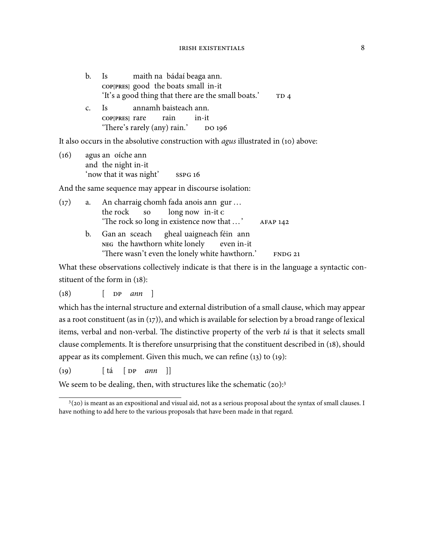| $\mathbf{b}$ . | Is a set of the set of the set of the set of the set of the set of the set of the set of the set of the set of the set of the set of the set of the set of the set of the set of the set of the set of the set of the set of t | maith na bádaí beaga ann.                                                                   |                 |
|----------------|--------------------------------------------------------------------------------------------------------------------------------------------------------------------------------------------------------------------------------|---------------------------------------------------------------------------------------------|-----------------|
|                |                                                                                                                                                                                                                                | COP[PRES] good the boats small in-it<br>'It's a good thing that there are the small boats.' | TD <sub>4</sub> |
| $\mathsf{C}$ . |                                                                                                                                                                                                                                | Is annamh baisteach ann.                                                                    |                 |
|                | coppressed coppressed contain                                                                                                                                                                                                  | in-it                                                                                       |                 |
|                |                                                                                                                                                                                                                                | 'There's rarely (any) rain.' DO 196                                                         |                 |

It also occurs in the absolutive construction with *agus* illustrated in (10) above:

() agus an oíche ann and the night in-it 'now that it was night'

And the same sequence may appear in discourse isolation:

| (17) | a. | An charraig chomh fada anois ann gur           |                 |
|------|----|------------------------------------------------|-----------------|
|      |    | the rock so long now in-it c                   |                 |
|      |    | 'The rock so long in existence now that '      | <b>AFAP 142</b> |
|      | b. | Gan an sceach gheal uaigneach féin ann         |                 |
|      |    | NEG the hawthorn white lonely even in-it       |                 |
|      |    | 'There wasn't even the lonely white hawthorn.' | <b>FNDG 21</b>  |

What these observations collectively indicate is that there is in the language a syntactic constituent of the form in  $(18)$ :

 $(18)$  [  $DP$  ann ]

which has the internal structure and external distribution of a small clause, which may appear as a root constituent (as in  $(17)$ ), and which is available for selection by a broad range of lexical items, verbal and non-verbal. The distinctive property of the verb tá is that it selects small clause complements. It is therefore unsurprising that the constituent described in (18), should appear as its complement. Given this much, we can refine  $(13)$  to  $(19)$ :

 $(19)$   $\left[ \begin{array}{ccc} \frac{1}{2} & \frac{1}{2} \\ \frac{1}{2} & \frac{1}{2} \end{array} \begin{array}{ccc} \frac{1}{2} & \frac{1}{2} \\ \frac{1}{2} & \frac{1}{2} \end{array} \begin{array}{ccc} \frac{1}{2} & \frac{1}{2} \\ \frac{1}{2} & \frac{1}{2} \end{array} \begin{array}{c} \frac{1}{2} \\ \frac{1}{2} & \frac{1}{2} \end{array} \begin{array}{c} \frac{1}{2} \\ \frac{1}{2} & \frac{1}{2} \end{array}$ 

We seem to be dealing, then, with structures like the schematic  $(20):$ <sup>3</sup>

<sup>&</sup>lt;sup>3</sup>(20) is meant as an expositional and visual aid, not as a serious proposal about the syntax of small clauses. I have nothing to add here to the various proposals that have been made in that regard.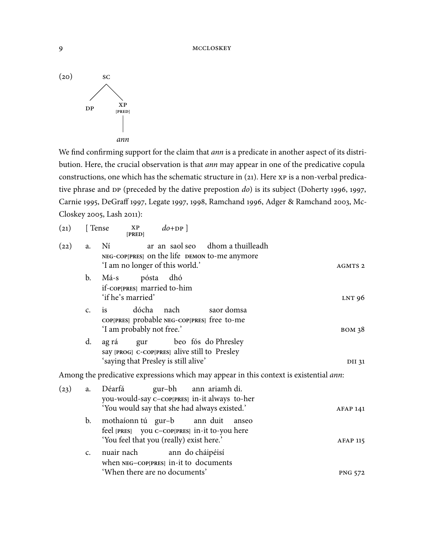

We find confirming support for the claim that ann is a predicate in another aspect of its distribution. Here, the crucial observation is that ann may appear in one of the predicative copula constructions, one which has the schematic structure in  $(21)$ . Here  $XP$  is a non-verbal predicative phrase and  $DP$  (preceded by the dative prepostion  $do$ ) is its subject (Doherty 1996, 1997, Carnie 1995, DeGraff 1997, Legate 1997, 1998, Ramchand 1996, Adger & Ramchand 2003, Mc-Closkey 2005, Lash 2011):

| (21) | [Tense]        | $d_{0+DP}$<br>$\mathbf{X} \mathbf{P}$<br>[PRED]                                                                                      |                    |
|------|----------------|--------------------------------------------------------------------------------------------------------------------------------------|--------------------|
| (22) | a.             | ar an saol seo dhom a thuilleadh<br>Ní<br>NEG-COP[PRES] on the life DEMON to-me anymore<br>'I am no longer of this world.'           | AGMTS <sub>2</sub> |
|      | b.             | dhó<br>Má-s<br>pósta<br>if-coppress married to-him<br>'if he's married'                                                              | LNT 96             |
|      | C <sub>1</sub> | dócha<br>nach<br>saor domsa<br><i>is</i><br>COP[PRES] probable NEG-COP[PRES] free to-me<br>'I am probably not free.'                 | <b>BOM 38</b>      |
|      | d.             | beo fós do Phresley<br>ag rá<br>gur<br>say [PROG] C-COP[PRES] alive still to Presley<br>'saying that Presley is still alive'         | DII 31             |
|      |                | Among the predicative expressions which may appear in this context is existential ann:                                               |                    |
| (23) | a.             | ann ariamh di.<br>Déarfá<br>gur-bh<br>you-would-say c-coppress in-it always to-her<br>'You would say that she had always existed.'   | <b>AFAP 141</b>    |
|      | b.             | mothaíonn tú gur-b<br>ann duit<br>anseo<br>feel [PRES] you c-cop[PRES] in-it to-you here<br>'You feel that you (really) exist here.' | <b>AFAP 115</b>    |
|      | C <sub>1</sub> | nuair nach<br>ann do cháipéisí<br>when NEG-COP[PRES] in-it to documents<br>'When there are no documents'                             | <b>PNG 572</b>     |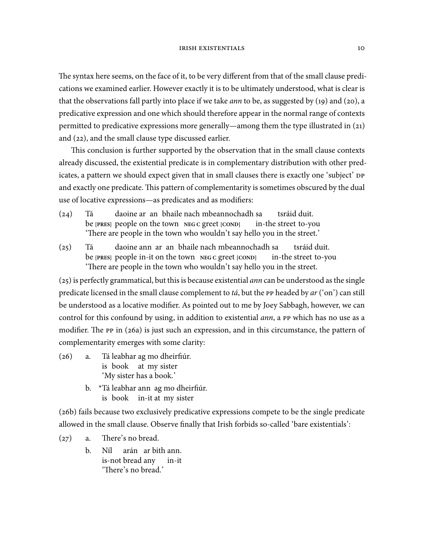The syntax here seems, on the face of it, to be very different from that of the small clause predications we examined earlier. However exactly it is to be ultimately understood, what is clear is that the observations fall partly into place if we take *ann* to be, as suggested by  $(19)$  and  $(20)$ , a predicative expression and one which should therefore appear in the normal range of contexts permitted to predicative expressions more generally—among them the type illustrated in  $(21)$ and (22), and the small clause type discussed earlier.

This conclusion is further supported by the observation that in the small clause contexts already discussed, the existential predicate is in complementary distribution with other predicates, a pattern we should expect given that in small clauses there is exactly one 'subject' and exactly one predicate. This pattern of complementarity is sometimes obscured by the dual use of locative expressions—as predicates and as modifiers:

- $(24)$  Tá be **[PRES]** people on the town **NEG C** greet **[COND]** daoine ar an bhaile nach mbeannochadh sa in-the street to-you tsráid duit. 'There are people in the town who wouldn't say hello you in the street.'
- $(25)$  Tá be **[PRES]** people in-it on the town **NEG C** greet **[COND]** daoine ann ar an bhaile nach mbeannochadh sa in-the street to-you tsráid duit. 'There are people in the town who wouldn't say hello you in the street.

 $(25)$  is perfectly grammatical, but this is because existential *ann* can be understood as the single predicate licensed in the small clause complement to tá, but the  $\rm P$  headed by  $ar$  ('on') can still be understood as a locative modifier. As pointed out to me by Joey Sabbagh, however, we can control for this confound by using, in addition to existential *ann*, a PP which has no use as a modifier. The  $\rm PP$  in (26a) is just such an expression, and in this circumstance, the pattern of complementarity emerges with some clarity:

- $(26)$  a. is book at my sister leabhar ag mo dheirfiúr. 'My sister has a book.'
	- b. \*Tá leabhar ann ag mo dheirfiúr. is book in-it at my sister

 $(a6b)$  fails because two exclusively predicative expressions compete to be the single predicate allowed in the small clause. Observe finally that Irish forbids so-called 'bare existentials':

 $(27)$  a. There's no bread.

b. Níl is-not bread any arán ar bith ann. in-it 'There's no bread.'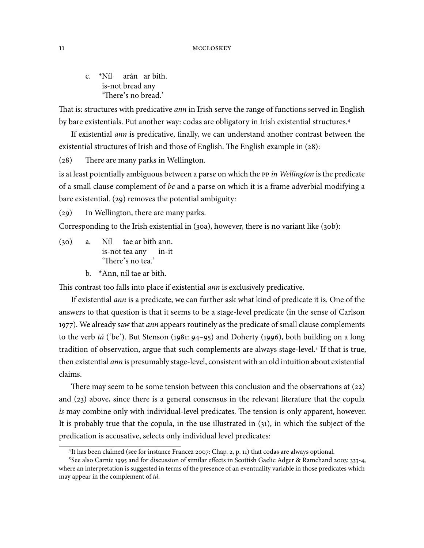c. \*Níl arán ar bith. is-not bread any 'There's no bread.'

That is: structures with predicative *ann* in Irish serve the range of functions served in English by bare existentials. Put another way: codas are obligatory in Irish existential structures.

If existential ann is predicative, finally, we can understand another contrast between the existential structures of Irish and those of English. The English example in  $(28)$ :

 $(28)$  There are many parks in Wellington.

is at least potentially ambiguous between a parse on which the  $\bar{P}$  in Wellington is the predicate of a small clause complement of be and a parse on which it is a frame adverbial modifying a bare existential.  $(29)$  removes the potential ambiguity:

(29) In Wellington, there are many parks.

Corresponding to the Irish existential in  $(30a)$ , however, there is no variant like  $(30b)$ :

 $(30)$  a. is-not tea any tae ar bith ann. in-it 'There's no tea.'

b. \*Ann, níl tae ar bith.

This contrast too falls into place if existential *ann* is exclusively predicative.

If existential ann is a predicate, we can further ask what kind of predicate it is. One of the answers to that question is that it seems to be a stage-level predicate (in the sense of Carlson 1977). We already saw that *ann* appears routinely as the predicate of small clause complements to the verb tá ('be'). But Stenson (1981: 94–95) and Doherty (1996), both building on a long tradition of observation, argue that such complements are always stage-level. If that is true, then existential ann is presumably stage-level, consistent with an old intuition about existential claims.

There may seem to be some tension between this conclusion and the observations at  $(22)$ and  $(23)$  above, since there is a general consensus in the relevant literature that the copula is may combine only with individual-level predicates. The tension is only apparent, however. It is probably true that the copula, in the use illustrated in  $(31)$ , in which the subject of the predication is accusative, selects only individual level predicates:

<sup>&</sup>lt;sup>4</sup>It has been claimed (see for instance Francez 2007: Chap. 2, p. 11) that codas are always optional.

<sup>&</sup>lt;sup>5</sup>See also Carnie 1995 and for discussion of similar effects in Scottish Gaelic Adger & Ramchand 2003: 333-4, where an interpretation is suggested in terms of the presence of an eventuality variable in those predicates which may appear in the complement of tá.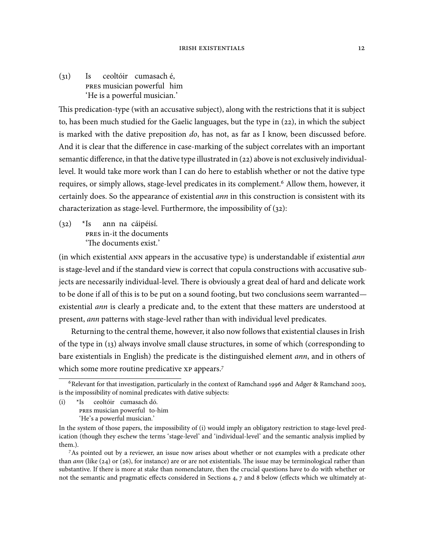$(31)$  Is musician powerful him ceoltóir cumasach é, 'He is a powerful musician.'

This predication-type (with an accusative subject), along with the restrictions that it is subject to, has been much studied for the Gaelic languages, but the type in  $(22)$ , in which the subject is marked with the dative preposition do, has not, as far as I know, been discussed before. And it is clear that the difference in case-marking of the subject correlates with an important semantic difference, in that the dative type illustrated in  $(22)$  above is not exclusively individuallevel. It would take more work than I can do here to establish whether or not the dative type requires, or simply allows, stage-level predicates in its complement.<sup>6</sup> Allow them, however, it certainly does. So the appearance of existential ann in this construction is consistent with its characterization as stage-level. Furthermore, the impossibility of  $(32)$ :

 $(32)$  \*Is PRES in-it the documents ann na cáipéisí. 'The documents exist.'

 $(in which existential ANN appears in the accusative type) is understandable if existential ann$ is stage-level and if the standard view is correct that copula constructions with accusative subjects are necessarily individual-level. There is obviously a great deal of hard and delicate work to be done if all of this is to be put on a sound footing, but two conclusions seem warranted existential *ann* is clearly a predicate and, to the extent that these matters are understood at present, ann patterns with stage-level rather than with individual level predicates.

Returning to the central theme, however, it also now follows that existential clauses in Irish of the type in (13) always involve small clause structures, in some of which (corresponding to bare existentials in English) the predicate is the distinguished element *ann*, and in others of which some more routine predicative xp appears.<sup>7</sup>

 $(i)$  \*Is ceoltóir cumasach dó.

 $6$ Relevant for that investigation, particularly in the context of Ramchand 1996 and Adger & Ramchand 2003, is the impossibility of nominal predicates with dative subjects:

PRES musician powerful to-him

<sup>&#</sup>x27;He's a powerful musician.'

In the system of those papers, the impossibility of (i) would imply an obligatory restriction to stage-level predication (though they eschew the terms 'stage-level' and 'individual-level' and the semantic analysis implied by them.).

<sup>&</sup>lt;sup>7</sup>As pointed out by a reviewer, an issue now arises about whether or not examples with a predicate other than *ann* (like (24) or (26), for instance) are or are not existentials. The issue may be terminological rather than substantive. If there is more at stake than nomenclature, then the crucial questions have to do with whether or not the semantic and pragmatic effects considered in Sections 4, 7 and 8 below (effects which we ultimately at-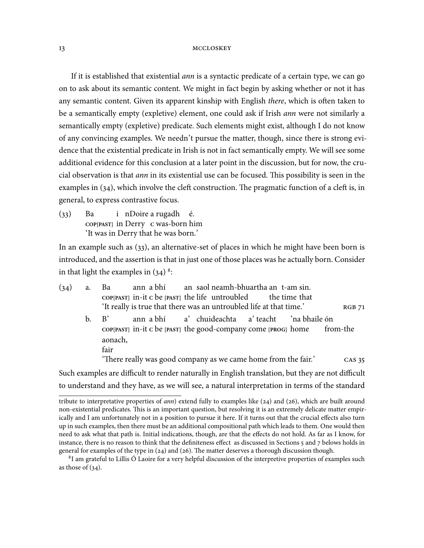If it is established that existential *ann* is a syntactic predicate of a certain type, we can go on to ask about its semantic content. We might in fact begin by asking whether or not it has any semantic content. Given its apparent kinship with English *there*, which is often taken to be a semantically empty (expletive) element, one could ask if Irish *ann* were not similarly a semantically empty (expletive) predicate. Such elements might exist, although I do not know of any convincing examples. We needn't pursue the matter, though, since there is strong evidence that the existential predicate in Irish is not in fact semantically empty. We will see some additional evidence for this conclusion at a later point in the discussion, but for now, the crucial observation is that *ann* in its existential use can be focused. This possibility is seen in the examples in  $(34)$ , which involve the cleft construction. The pragmatic function of a cleft is, in general, to express contrastive focus.

 $(33)$  Ba **COP[PAST]** in Derry **C** was-born him i nDoire a rugadh é. 'It was in Derry that he was born.'

In an example such as  $(33)$ , an alternative-set of places in which he might have been born is introduced, and the assertion is that in just one of those places was he actually born. Consider in that light the examples in  $(34)$ <sup>8</sup>:

| (34) | a. | ann a bhí an saol neamh-bhuartha an t-am sin.<br>Ba                                    |
|------|----|----------------------------------------------------------------------------------------|
|      |    | $\text{COP}[\text{PAST}]$ in-it c be $[\text{PAST}]$ the life untroubled the time that |
|      |    | 'It really is true that there was an untroubled life at that time.'<br><b>RGB 71</b>   |
|      |    | ann a bhí a' chuideachta a' teacht 'na bhaile ón<br>$h \cdot B'$                       |
|      |    | COP[PAST] in-it c be [PAST] the good-company come [PROG] home from-the<br>aonach,      |
|      |    | fair                                                                                   |
|      |    | 'There really was good company as we came home from the fair.'<br>CAS 35               |
|      |    |                                                                                        |

Such examples are difficult to render naturally in English translation, but they are not difficult to understand and they have, as we will see, a natural interpretation in terms of the standard

 ${}^{8}$ I am grateful to Lillis Ó Laoire for a very helpful discussion of the interpretive properties of examples such as those of  $(34)$ .

tribute to interpretative properties of  $ann$ ) extend fully to examples like (24) and (26), which are built around non-existential predicates. This is an important question, but resolving it is an extremely delicate matter empirically and I am unfortunately not in a position to pursue it here. If it turns out that the crucial effects also turn up in such examples, then there must be an additional compositional path which leads to them. One would then need to ask what that path is. Initial indications, though, are that the effects do not hold. As far as I know, for instance, there is no reason to think that the definiteness effect as discussed in Sections  $5$  and  $7$  belows holds in general for examples of the type in  $(24)$  and  $(26)$ . The matter deserves a thorough discussion though.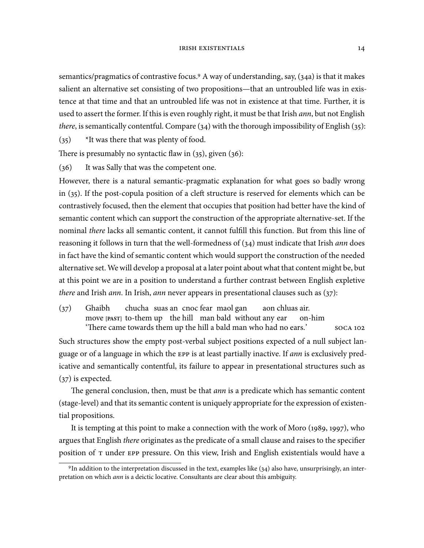semantics/pragmatics of contrastive focus.<sup>9</sup> A way of understanding, say,  $(34a)$  is that it makes salient an alternative set consisting of two propositions—that an untroubled life was in existence at that time and that an untroubled life was not in existence at that time. Further, it is used to assert the former. If this is even roughly right, it must be that Irish *ann*, but not English *there*, is semantically contentful. Compare  $(34)$  with the thorough impossibility of English  $(35)$ :

 $(35)$  \*It was there that was plenty of food.

There is presumably no syntactic flaw in  $(35)$ , given  $(36)$ :

(36) It was Sally that was the competent one.

However, there is a natural semantic-pragmatic explanation for what goes so badly wrong in  $(35)$ . If the post-copula position of a cleft structure is reserved for elements which can be contrastively focused, then the element that occupies that position had better have the kind of semantic content which can support the construction of the appropriate alternative-set. If the nominal there lacks all semantic content, it cannot fulfill this function. But from this line of reasoning it follows in turn that the well-formedness of  $(34)$  must indicate that Irish ann does in fact have the kind of semantic content which would support the construction of the needed alternative set. We will develop a proposal at a later point about what that content might be, but at this point we are in a position to understand a further contrast between English expletive there and Irish ann. In Irish, ann never appears in presentational clauses such as  $(37)$ :

 $(37)$  Ghaibh move [PAST] to-them up the hill man bald without any ear chucha suas an cnoc fear maol gan aon chluas air. on-him 'There came towards them up the hill a bald man who had no ears.' soca 102

Such structures show the empty post-verbal subject positions expected of a null subject language or of a language in which the EPP is at least partially inactive. If ann is exclusively predicative and semantically contentful, its failure to appear in presentational structures such as  $(37)$  is expected.

The general conclusion, then, must be that *ann* is a predicate which has semantic content (stage-level) and that its semantic content is uniquely appropriate for the expression of existential propositions.

It is tempting at this point to make a connection with the work of Moro  $(1989, 1997)$ , who argues that English *there* originates as the predicate of a small clause and raises to the specifier position of T under EPP pressure. On this view, Irish and English existentials would have a

<sup>&</sup>lt;sup>9</sup>In addition to the interpretation discussed in the text, examples like  $(34)$  also have, unsurprisingly, an interpretation on which ann is a deictic locative. Consultants are clear about this ambiguity.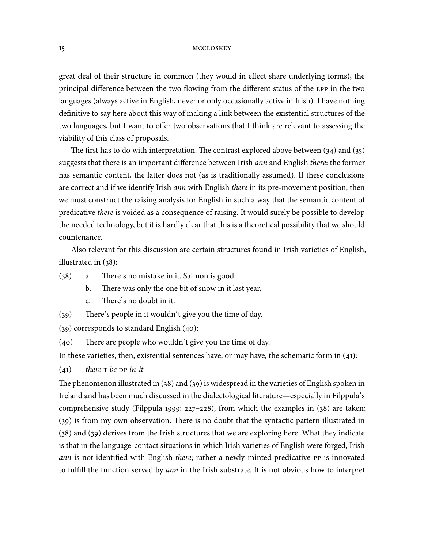great deal of their structure in common (they would in effect share underlying forms), the principal difference between the two flowing from the different status of the EPP in the two languages (always active in English, never or only occasionally active in Irish). I have nothing definitive to say here about this way of making a link between the existential structures of the two languages, but I want to offer two observations that I think are relevant to assessing the viability of this class of proposals.

The first has to do with interpretation. The contrast explored above between  $(34)$  and  $(35)$ suggests that there is an important difference between Irish *ann* and English *there*: the former has semantic content, the latter does not (as is traditionally assumed). If these conclusions are correct and if we identify Irish *ann* with English *there* in its pre-movement position, then we must construct the raising analysis for English in such a way that the semantic content of predicative there is voided as a consequence of raising. It would surely be possible to develop the needed technology, but it is hardly clear that this is a theoretical possibility that we should countenance.

Also relevant for this discussion are certain structures found in Irish varieties of English, illustrated in  $(38)$ :

- $(38)$  a. There's no mistake in it. Salmon is good.
	- b. There was only the one bit of snow in it last year.
	- c. There's no doubt in it.
- $(39)$  There's people in it wouldn't give you the time of day.

 $(39)$  corresponds to standard English  $(40)$ :

 $(40)$  There are people who wouldn't give you the time of day.

In these varieties, then, existential sentences have, or may have, the schematic form in  $(41)$ :

 $(41)$  there T be DP in-it

The phenomenon illustrated in  $(38)$  and  $(39)$  is widespread in the varieties of English spoken in Ireland and has been much discussed in the dialectological literature—especially in Filppula's comprehensive study (Filppula 1999:  $227-228$ ), from which the examples in (38) are taken;  $(39)$  is from my own observation. There is no doubt that the syntactic pattern illustrated in  $(38)$  and  $(39)$  derives from the Irish structures that we are exploring here. What they indicate is that in the language-contact situations in which Irish varieties of English were forged, Irish ann is not identified with English there; rather a newly-minted predicative PP is innovated to fulfill the function served by ann in the Irish substrate. It is not obvious how to interpret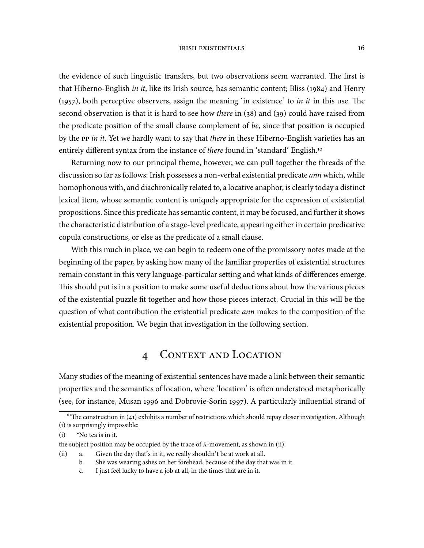#### IRISH EXISTENTIALS 16

the evidence of such linguistic transfers, but two observations seem warranted. The first is that Hiberno-English in it, like its Irish source, has semantic content; Bliss (1984) and Henry  $(1957)$ , both perceptive observers, assign the meaning 'in existence' to *in it* in this use. The second observation is that it is hard to see how *there* in  $(38)$  and  $(39)$  could have raised from the predicate position of the small clause complement of be, since that position is occupied by the PP in it. Yet we hardly want to say that there in these Hiberno-English varieties has an entirely different syntax from the instance of there found in 'standard' English.<sup>10</sup>

Returning now to our principal theme, however, we can pull together the threads of the discussion so far as follows: Irish possesses a non-verbal existential predicate *ann* which, while homophonous with, and diachronically related to, a locative anaphor, is clearly today a distinct lexical item, whose semantic content is uniquely appropriate for the expression of existential propositions. Since this predicate has semantic content, it may be focused, and further it shows the characteristic distribution of a stage-level predicate, appearing either in certain predicative copula constructions, or else as the predicate of a small clause.

With this much in place, we can begin to redeem one of the promissory notes made at the beginning of the paper, by asking how many of the familiar properties of existential structures remain constant in this very language-particular setting and what kinds of differences emerge. This should put is in a position to make some useful deductions about how the various pieces of the existential puzzle fit together and how those pieces interact. Crucial in this will be the question of what contribution the existential predicate ann makes to the composition of the existential proposition. We begin that investigation in the following section.

# 4 CONTEXT AND LOCATION

Many studies of the meaning of existential sentences have made a link between their semantic properties and the semantics of location, where 'location' is often understood metaphorically (see, for instance, Musan 1996 and Dobrovie-Sorin 1997). A particularly influential strand of

b. She was wearing ashes on her forehead, because of the day that was in it.

<sup>&</sup>lt;sup>10</sup>The construction in (41) exhibits a number of restrictions which should repay closer investigation. Although (i) is surprisingly impossible:

<sup>(</sup>i) \*No tea is in it.

the subject position may be occupied by the trace of  $\bar{A}$ -movement, as shown in (ii):

<sup>(</sup>ii) a. Given the day that's in it, we really shouldn't be at work at all.

c. I just feel lucky to have a job at all, in the times that are in it.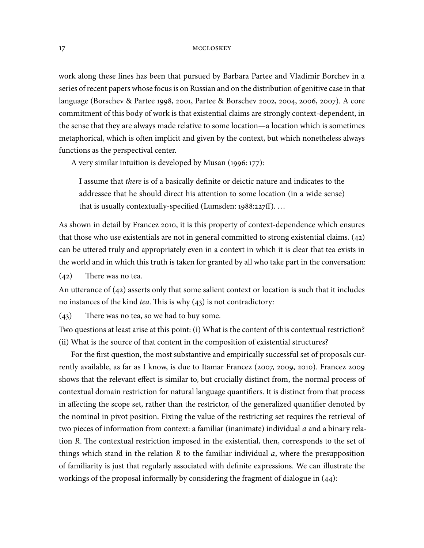work along these lines has been that pursued by Barbara Partee and Vladimir Borchev in a series of recent papers whose focus is on Russian and on the distribution of genitive case in that language (Borschev & Partee 1998, 2001, Partee & Borschev 2002, 2004, 2006, 2007). A core commitment of this body of work is that existential claims are strongly context-dependent, in the sense that they are always made relative to some location—a location which is sometimes metaphorical, which is often implicit and given by the context, but which nonetheless always functions as the perspectival center.

A very similar intuition is developed by Musan  $(1996:177)$ :

I assume that there is of a basically definite or deictic nature and indicates to the addressee that he should direct his attention to some location (in a wide sense) that is usually contextually-specified (Lumsden:  $1988:227ff$ )....

As shown in detail by Francez 2010, it is this property of context-dependence which ensures that those who use existentials are not in general committed to strong existential claims.  $(42)$ can be uttered truly and appropriately even in a context in which it is clear that tea exists in the world and in which this truth is taken for granted by all who take part in the conversation:

 $(42)$  There was no tea.

An utterance of  $(42)$  asserts only that some salient context or location is such that it includes no instances of the kind tea. This is why  $(43)$  is not contradictory:

 $(43)$  There was no tea, so we had to buy some.

Two questions at least arise at this point: (i) What is the content of this contextual restriction? (ii) What is the source of that content in the composition of existential structures?

For the first question, the most substantive and empirically successful set of proposals currently available, as far as I know, is due to Itamar Francez  $(2007, 2009, 2010)$ . Francez 2009 shows that the relevant effect is similar to, but crucially distinct from, the normal process of contextual domain restriction for natural language quantifiers. It is distinct from that process in affecting the scope set, rather than the restrictor, of the generalized quantifier denoted by the nominal in pivot position. Fixing the value of the restricting set requires the retrieval of two pieces of information from context: a familiar (inanimate) individual  $a$  and a binary relation R. The contextual restriction imposed in the existential, then, corresponds to the set of things which stand in the relation  $R$  to the familiar individual  $a$ , where the presupposition of familiarity is just that regularly associated with definite expressions. We can illustrate the workings of the proposal informally by considering the fragment of dialogue in  $(44)$ :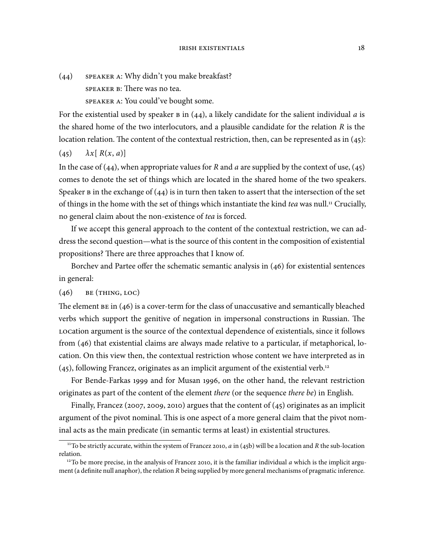$(44)$  speaker a: Why didn't you make breakfast? speaker B: There was no tea. SPEAKER A: You could've bought some.

For the existential used by speaker  $\overline{B}$  in (44), a likely candidate for the salient individual a is the shared home of the two interlocutors, and a plausible candidate for the relation R is the location relation. The content of the contextual restriction, then, can be represented as in  $(45)$ :

 $\lambda x$ [ R(x, a)]

In the case of (44), when appropriate values for R and a are supplied by the context of use, (45) comes to denote the set of things which are located in the shared home of the two speakers. Speaker  $\bf{B}$  in the exchange of (44) is in turn then taken to assert that the intersection of the set of things in the home with the set of things which instantiate the kind tea was null.<sup>11</sup> Crucially, no general claim about the non-existence of tea is forced.

If we accept this general approach to the content of the contextual restriction, we can address the second question—what is the source of this content in the composition of existential propositions? There are three approaches that I know of.

Borchev and Partee offer the schematic semantic analysis in  $(46)$  for existential sentences in general:

```
(46) BE (THING, LOC)
```
The element  $B$  is a cover-term for the class of unaccusative and semantically bleached verbs which support the genitive of negation in impersonal constructions in Russian. The LOCation argument is the source of the contextual dependence of existentials, since it follows from  $(46)$  that existential claims are always made relative to a particular, if metaphorical, location. On this view then, the contextual restriction whose content we have interpreted as in  $(45)$ , following Francez, originates as an implicit argument of the existential verb.<sup>12</sup>

For Bende-Farkas 1999 and for Musan 1996, on the other hand, the relevant restriction originates as part of the content of the element there (or the sequence there be) in English.

Finally, Francez (2007, 2009, 2010) argues that the content of (45) originates as an implicit argument of the pivot nominal. This is one aspect of a more general claim that the pivot nominal acts as the main predicate (in semantic terms at least) in existential structures.

<sup>&</sup>lt;sup>11</sup>To be strictly accurate, within the system of Francez 2010, *a* in (45b) will be a location and *R* the sub-location relation.

<sup>&</sup>lt;sup>12</sup>To be more precise, in the analysis of Francez 2010, it is the familiar individual a which is the implicit argument (a definite null anaphor), the relation R being supplied by more general mechanisms of pragmatic inference.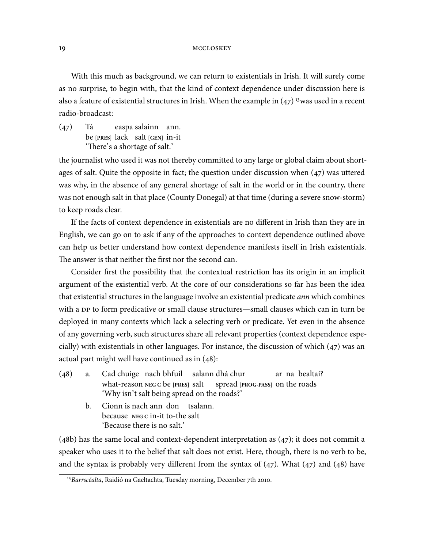With this much as background, we can return to existentials in Irish. It will surely come as no surprise, to begin with, that the kind of context dependence under discussion here is also a feature of existential structures in Irish. When the example in  $(47)^{13}$  was used in a recent radio-broadcast:

 $(47)$  Tá be **[PRES]** lack salt **[GEN]** in-it easpa salainn ann. 'There's a shortage of salt.'

the journalist who used it was not thereby committed to any large or global claim about shortages of salt. Quite the opposite in fact; the question under discussion when  $(47)$  was uttered was why, in the absence of any general shortage of salt in the world or in the country, there was not enough salt in that place (County Donegal) at that time (during a severe snow-storm) to keep roads clear.

If the facts of context dependence in existentials are no different in Irish than they are in English, we can go on to ask if any of the approaches to context dependence outlined above can help us better understand how context dependence manifests itself in Irish existentials. The answer is that neither the first nor the second can.

Consider first the possibility that the contextual restriction has its origin in an implicit argument of the existential verb. At the core of our considerations so far has been the idea that existential structures in the language involve an existential predicate ann which combines with a DP to form predicative or small clause structures—small clauses which can in turn be deployed in many contexts which lack a selecting verb or predicate. Yet even in the absence of any governing verb, such structures share all relevant properties (context dependence especially) with existentials in other languages. For instance, the discussion of which  $(47)$  was an actual part might well have continued as in  $(48)$ :

- (48) a. Cad chuige nach bhfuil salann dhá chur what-reason **NEG C** be **[PRES]** salt spread **[PROG-PASS]** on the roads ar na bealtaí? 'Why isn't salt being spread on the roads?'
	- b. Cionn is nach ann don tsalann. because **NEGC** in-it to-the salt 'Because there is no salt.'

 $(48b)$  has the same local and context-dependent interpretation as  $(47)$ ; it does not commit a speaker who uses it to the belief that salt does not exist. Here, though, there is no verb to be, and the syntax is probably very different from the syntax of  $(47)$ . What  $(47)$  and  $(48)$  have

<sup>&</sup>lt;sup>13</sup> Barrscéalta, Raidió na Gaeltachta, Tuesday morning, December 7th 2010.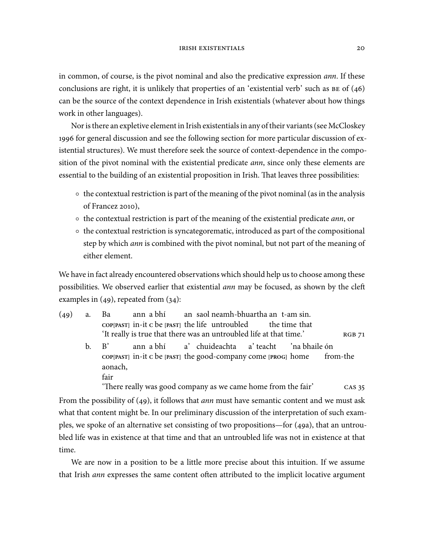in common, of course, is the pivot nominal and also the predicative expression *ann*. If these conclusions are right, it is unlikely that properties of an 'existential verb' such as  $BE$  of  $(46)$ can be the source of the context dependence in Irish existentials (whatever about how things work in other languages).

Nor is there an expletive element in Irish existentials in any of their variants (see McCloskey 1996 for general discussion and see the following section for more particular discussion of existential structures). We must therefore seek the source of context-dependence in the composition of the pivot nominal with the existential predicate *ann*, since only these elements are essential to the building of an existential proposition in Irish. That leaves three possibilities:

- the contextual restriction is part of the meaning of the pivot nominal (as in the analysis of Francez  $2010$ ,
- $\circ$  the contextual restriction is part of the meaning of the existential predicate *ann*, or
- $\circ$  the contextual restriction is syncategorematic, introduced as part of the compositional step by which *ann* is combined with the pivot nominal, but not part of the meaning of either element.

We have in fact already encountered observations which should help us to choose among these possibilities. We observed earlier that existential *ann* may be focused, as shown by the cleft examples in  $(49)$ , repeated from  $(34)$ :

| (49) | a. Ba ann a bhí an saol neamh-bhuartha an t-am sin.                                                                                                                            |
|------|--------------------------------------------------------------------------------------------------------------------------------------------------------------------------------|
|      | $\text{COP}[\text{PAST}]$ in-it c be $[\text{PAST}]$ the life untroubled the time that<br>'It really is true that there was an untroubled life at that time.'<br><b>RGB 71</b> |
|      | ann a bhí a' chuideachta a' teacht 'na bhaile ón<br>$h \cdot B'$<br>COP[PAST] in-it c be [PAST] the good-company come [PROG] home from-the<br>aonach,                          |
|      | fair                                                                                                                                                                           |
|      | 'There really was good company as we came home from the fair'<br>CAS 35                                                                                                        |

From the possibility of (49), it follows that *ann* must have semantic content and we must ask what that content might be. In our preliminary discussion of the interpretation of such examples, we spoke of an alternative set consisting of two propositions—for  $(49a)$ , that an untroubled life was in existence at that time and that an untroubled life was not in existence at that time.

We are now in a position to be a little more precise about this intuition. If we assume that Irish *ann* expresses the same content often attributed to the implicit locative argument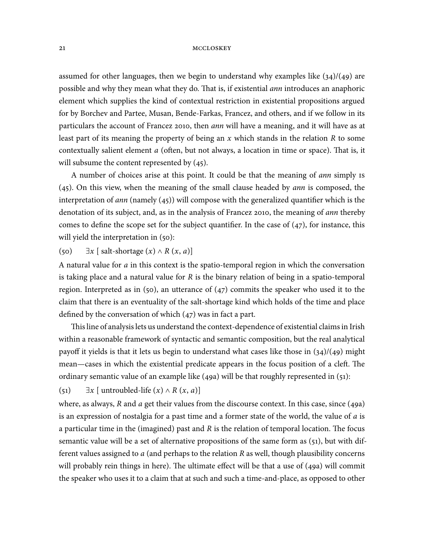assumed for other languages, then we begin to understand why examples like  $(34)/(49)$  are possible and why they mean what they do. That is, if existential *ann* introduces an anaphoric element which supplies the kind of contextual restriction in existential propositions argued for by Borchev and Partee, Musan, Bende-Farkas, Francez, and others, and if we follow in its particulars the account of Francez 2010, then *ann* will have a meaning, and it will have as at least part of its meaning the property of being an  $x$  which stands in the relation  $R$  to some contextually salient element  $a$  (often, but not always, a location in time or space). That is, it will subsume the content represented by  $(45)$ .

A number of choices arise at this point. It could be that the meaning of *ann* simply is  $(45)$ . On this view, when the meaning of the small clause headed by *ann* is composed, the interpretation of *ann* (namely  $(45)$ ) will compose with the generalized quantifier which is the denotation of its subject, and, as in the analysis of Francez 2010, the meaning of *ann* thereby comes to define the scope set for the subject quantifier. In the case of  $(47)$ , for instance, this will yield the interpretation in  $(50)$ :

### (50)  $\exists x$  [ salt-shortage  $(x) \wedge R(x, a)$ ]

A natural value for a in this context is the spatio-temporal region in which the conversation is taking place and a natural value for  $R$  is the binary relation of being in a spatio-temporal region. Interpreted as in (50), an utterance of (47) commits the speaker who used it to the claim that there is an eventuality of the salt-shortage kind which holds of the time and place defined by the conversation of which  $(47)$  was in fact a part.

This line of analysis lets us understand the context-dependence of existential claims in Irish within a reasonable framework of syntactic and semantic composition, but the real analytical payoff it yields is that it lets us begin to understand what cases like those in  $(34)/(49)$  might mean—cases in which the existential predicate appears in the focus position of a cleft. The ordinary semantic value of an example like  $(49a)$  will be that roughly represented in  $(51)$ :

(51)  $\exists x \, [\text{untroubled-life}(x) \wedge R(x, a)]$ 

where, as always,  $R$  and  $a$  get their values from the discourse context. In this case, since (49a) is an expression of nostalgia for a past time and a former state of the world, the value of  $a$  is a particular time in the (imagined) past and  $R$  is the relation of temporal location. The focus semantic value will be a set of alternative propositions of the same form as  $(51)$ , but with different values assigned to  $a$  (and perhaps to the relation  $R$  as well, though plausibility concerns will probably rein things in here). The ultimate effect will be that a use of  $(49a)$  will commit the speaker who uses it to a claim that at such and such a time-and-place, as opposed to other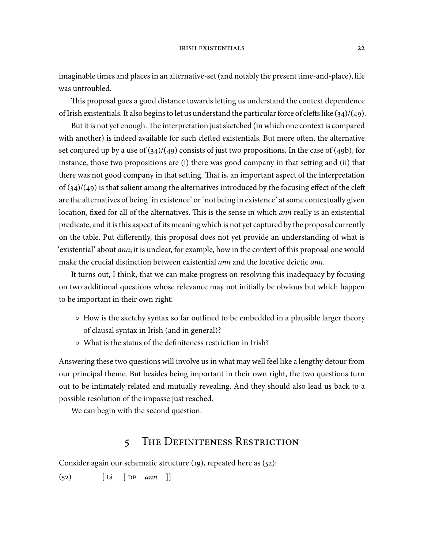imaginable times and places in an alternative-set (and notably the present time-and-place), life was untroubled.

This proposal goes a good distance towards letting us understand the context dependence of Irish existentials. It also begins to let us understand the particular force of clefts like  $(34)/(49)$ .

But it is not yet enough. The interpretation just sketched (in which one context is compared with another) is indeed available for such clefted existentials. But more often, the alternative set conjured up by a use of  $(34)/(49)$  consists of just two propositions. In the case of  $(49b)$ , for instance, those two propositions are (i) there was good company in that setting and (ii) that there was not good company in that setting. That is, an important aspect of the interpretation of  $(34)/(49)$  is that salient among the alternatives introduced by the focusing effect of the cleft are the alternatives of being 'in existence' or 'not being in existence' at some contextually given location, fixed for all of the alternatives. This is the sense in which *ann* really is an existential predicate, and it is this aspect of its meaning which is not yet captured by the proposal currently on the table. Put differently, this proposal does not yet provide an understanding of what is 'existential' about ann; it is unclear, for example, how in the context of this proposal one would make the crucial distinction between existential ann and the locative deictic ann.

It turns out, I think, that we can make progress on resolving this inadequacy by focusing on two additional questions whose relevance may not initially be obvious but which happen to be important in their own right:

- How is the sketchy syntax so far outlined to be embedded in a plausible larger theory of clausal syntax in Irish (and in general)?
- What is the status of the definiteness restriction in Irish?

Answering these two questions will involve us in what may well feel like a lengthy detour from our principal theme. But besides being important in their own right, the two questions turn out to be intimately related and mutually revealing. And they should also lead us back to a possible resolution of the impasse just reached.

We can begin with the second question.

# 5 THE DEFINITENESS RESTRICTION

Consider again our schematic structure  $(i)$ , repeated here as  $(52)$ :

 $(52)$   $\left[ \begin{array}{ccc} \frac{\pi}{2} & \frac{\pi}{2} \\ \frac{\pi}{2} & \frac{\pi}{2} \end{array} \right]$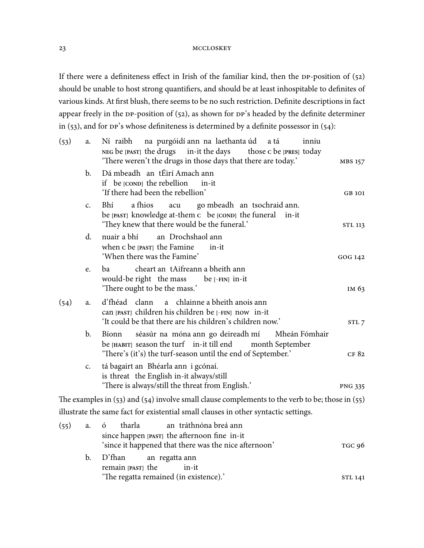If there were a definiteness effect in Irish of the familiar kind, then the  $DP$ -position of  $(52)$ should be unable to host strong quantifiers, and should be at least inhospitable to definites of various kinds. At first blush, there seems to be no such restriction. Definite descriptions in fact appear freely in the DP-position of  $(52)$ , as shown for DP's headed by the definite determiner in (53), and for  $DP$ 's whose definiteness is determined by a definite possessor in (54):

| (53) | a.             | Ní raibh na purgóidí ann na laethanta úd a tá<br>inniu<br>NEG be [PAST] the drugs in-it the days<br>those c be [PRES] today<br>'There weren't the drugs in those days that there are today.' | MBS 157        |
|------|----------------|----------------------------------------------------------------------------------------------------------------------------------------------------------------------------------------------|----------------|
|      | $\mathbf{b}$ . | Dá mbeadh an tÉirí Amach ann<br>if be [COND] the rebellion<br>in-it<br>'If there had been the rebellion'                                                                                     | GB 101         |
|      | $C_{\bullet}$  | a fhios<br>Bhí<br>go mbeadh an tsochraid ann.<br>acu<br>be [PAST] knowledge at-them c be [COND] the funeral in-it<br>'They knew that there would be the funeral.'                            | <b>STL 113</b> |
|      | d.             | nuair a bhí<br>an Drochshaol ann<br>when c be [PAST] the Famine<br>in-it<br>'When there was the Famine'                                                                                      | GOG 142        |
|      | e.             | cheart an tAifreann a bheith ann<br>ba<br>would-be right the mass<br>be $[-FIN]$ in-it<br>'There ought to be the mass.'                                                                      | IM 63          |
| (54) | a.             | a chlainne a bheith anois ann<br>d'fhéad clann<br>can [PAST] children his children be [-FIN] now in-it<br>'It could be that there are his children's children now.'                          | STL 7          |
|      | b.             | séasúr na móna ann go deireadh mí<br>Mheán Fómhair<br>Bíonn<br>be [HABIT] season the turf in-it till end<br>month September<br>'There's (it's) the turf-season until the end of September.'  | CF 82          |
|      | $\mathsf{C}$ . | tá bagairt an Bhéarla ann i gcónaí.<br>is threat the English in-it always/still<br>'There is always/still the threat from English.'                                                          | <b>PNG 335</b> |
|      |                | The examples in $(53)$ and $(54)$ involve small clause complements to the verb to be; those in $(55)$                                                                                        |                |
|      |                | illustrate the same fact for existential small clauses in other syntactic settings.                                                                                                          |                |
| (55) | a.             | an tráthnóna breá ann<br>tharla<br>Ó<br>since happen [PAST] the afternoon fine in-it<br>'since it happened that there was the nice afternoon'                                                | TGC 06         |

|  | since a happened that there was the firet anternoon | 1 JU 90 |
|--|-----------------------------------------------------|---------|
|  | b. D'fhan an regatta ann                            |         |
|  | remain [PAST] the in-it                             |         |
|  | 'The regatta remained (in existence).'              |         |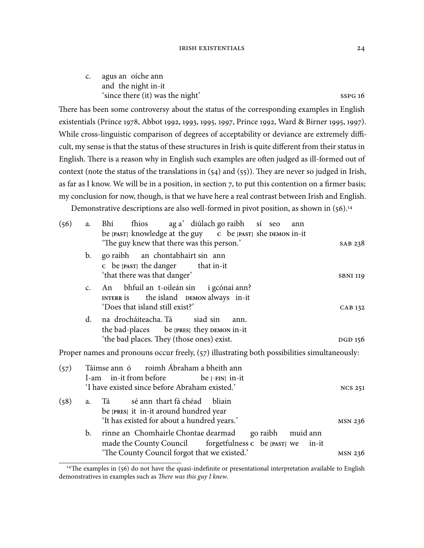#### IRISH EXISTENTIALS 24

| $\mathsf{C}$ . | agus an oíche ann                |                    |
|----------------|----------------------------------|--------------------|
|                | and the night in-it              |                    |
|                | 'since there (it) was the night' | SSPG <sub>16</sub> |

There has been some controversy about the status of the corresponding examples in English existentials (Prince 1978, Abbot 1992, 1993, 1995, 1997, Prince 1992, Ward & Birner 1995, 1997). While cross-linguistic comparison of degrees of acceptability or deviance are extremely difficult, my sense is that the status of these structures in Irish is quite different from their status in English. There is a reason why in English such examples are often judged as ill-formed out of context (note the status of the translations in  $(54)$  and  $(55)$ ). They are never so judged in Irish, as far as I know. We will be in a position, in section 7, to put this contention on a firmer basis; my conclusion for now, though, is that we have here a real contrast between Irish and English.

Demonstrative descriptions are also well-formed in pivot position, as shown in (56).<sup>14</sup>

| (56) | a.             | fhios ag a' diúlach go raibh sí seo<br>Bhí<br>ann<br>be [PAST] knowledge at the guy c be [PAST] she DEMON in-it<br>'The guy knew that there was this person.' | SAB 238         |
|------|----------------|---------------------------------------------------------------------------------------------------------------------------------------------------------------|-----------------|
|      | $\mathbf{b}$ . | go raibh an chontabhairt sin ann<br>c be [PAST] the danger that in-it<br>'that there was that danger'                                                         | <b>SBNI 119</b> |
|      | C <sub>1</sub> | An bhfuil an t-oileán sin i gcónaí ann?<br>INTERR is the island DEMON always in-it<br>'Does that island still exist?'                                         | CAB 132         |
|      | $d_{-}$        | na drocháiteacha. Tá<br>siad sin<br>ann.<br>the bad-places be [PRES] they DEMON in-it<br>'the bad places. They (those ones) exist.                            | DGD 156         |
|      |                | Proper names and pronouns occur freely, (57) illustrating both possibilities simultaneously:                                                                  |                 |
| (57) | I-am           | Táimse ann ó roimh Ábraham a bheith ann<br>in-it from before<br>be [-FIN] in-it                                                                               |                 |
|      |                | 'I have existed since before Abraham existed.'                                                                                                                | <b>NCS 251</b>  |
| (58) | a.             | sé ann thart fá chéad bliain<br>Tá<br>be [PRES] it in-it around hundred year<br>'It has existed for about a hundred years.'                                   | MSN 236         |
|      | b.             | rinne an Chomhairle Chontae dearmad<br>go raibh muid ann<br>made the County Council forgetfulness c be [PAST] we<br>in-it                                     |                 |
|      |                | 'The County Council forgot that we existed.'                                                                                                                  | MSN 236         |

 $14$ The examples in (56) do not have the quasi-indefinite or presentational interpretation available to English demonstratives in examples such as There was this guy I knew.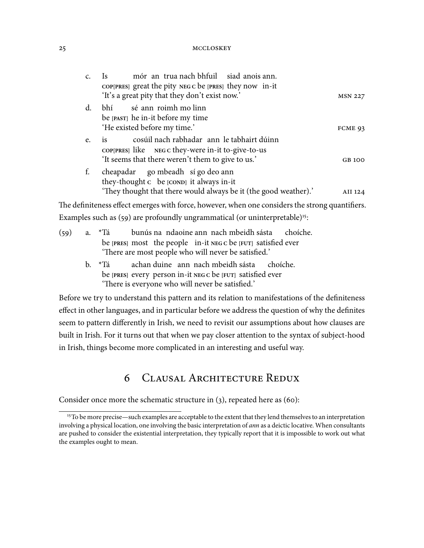| C <sub>1</sub> | mór an trua nach bhfuil siad anois ann.<br>$\frac{1}{s}$<br>COP[PRES] great the pity NEG c be [PRES] they now in-it                                               |                |
|----------------|-------------------------------------------------------------------------------------------------------------------------------------------------------------------|----------------|
|                | 'It's a great pity that they don't exist now.'                                                                                                                    | <b>MSN 227</b> |
|                | d. bhí sé ann roimh mo linn<br>be [PAST] he in-it before my time<br>'He existed before my time.'                                                                  | FCME 93        |
| e.             | cosúil nach rabhadar ann le tabhairt dúinn<br><b>1S</b><br>coppress like NEG c they-were in-it to-give-to-us<br>'It seems that there weren't them to give to us.' | GB 100         |
| f.             | cheapadar go mbeadh sí go deo ann<br>they-thought c be [COND] it always in-it<br>'They thought that there would always be it (the good weather).'                 | AII 124        |
|                | The definiteness effect emerges with force, however, when one considers the strong quantifiers.                                                                   |                |
|                | Examples such as $(59)$ are profoundly ungrammatical (or uninterpretable) <sup>15</sup> :                                                                         |                |

- $(59)$  a.  $*Tá$ be **[PRES]** most the people in-it **NEG C** be **[FUT]** satisfied ever bunús na ndaoine ann nach mbeidh sásta choíche. 'There are most people who will never be satisfied.'
	- b. \*Tá be **[PRES]** every person in-it **NEG C** be **[FUT]** satisfied ever achan duine ann nach mbeidh sásta choíche. 'There is everyone who will never be satisfied.'

Before we try to understand this pattern and its relation to manifestations of the definiteness effect in other languages, and in particular before we address the question of why the definites seem to pattern differently in Irish, we need to revisit our assumptions about how clauses are built in Irish. For it turns out that when we pay closer attention to the syntax of subject-hood in Irish, things become more complicated in an interesting and useful way.

# 6 CLAUSAL ARCHITECTURE REDUX

Consider once more the schematic structure in  $(3)$ , repeated here as  $(60)$ :

<sup>&</sup>lt;sup>15</sup>To be more precise—such examples are acceptable to the extent that they lend themselves to an interpretation involving a physical location, one involving the basic interpretation of *ann* as a deictic locative. When consultants are pushed to consider the existential interpretation, they typically report that it is impossible to work out what the examples ought to mean.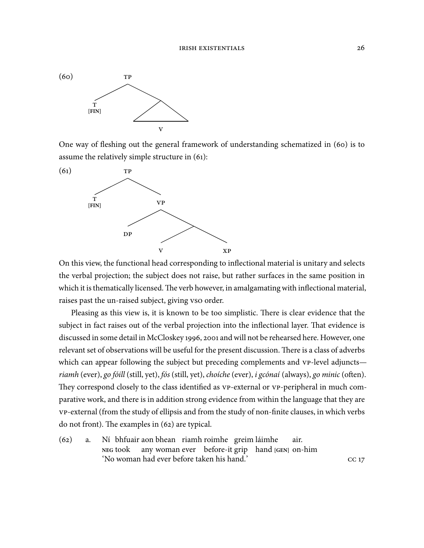

One way of fleshing out the general framework of understanding schematized in (60) is to assume the relatively simple structure in  $(61)$ :



On this view, the functional head corresponding to inflectional material is unitary and selects the verbal projection; the subject does not raise, but rather surfaces in the same position in which it is thematically licensed. The verb however, in amalgamating with inflectional material, raises past the un-raised subject, giving vso order.

Pleasing as this view is, it is known to be too simplistic. There is clear evidence that the subject in fact raises out of the verbal projection into the inflectional layer. That evidence is discussed in some detail in McCloskey 1996, 2001 and will not be rehearsed here. However, one relevant set of observations will be useful for the present discussion. There is a class of adverbs which can appear following the subject but preceding complements and vp-level adjuncts riamh (ever), go fóill (still, yet), fós (still, yet), choíche (ever), i gcónaí (always), go minic (often). They correspond closely to the class identified as  $VP$ -external or  $VP$ -peripheral in much comparative work, and there is in addition strong evidence from within the language that they are -external (from the study of ellipsis and from the study of non-finite clauses, in which verbs do not front). The examples in  $(62)$  are typical.

 $(62)$  a. **NEG** took bhfuair aon bhean riamh roimhe greim láimhe any woman ever before-it grip hand **[GEN]** on-him air. 'No woman had ever before taken his hand.'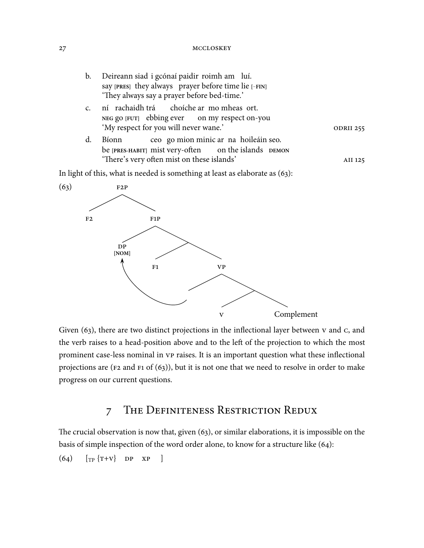| b. | Deireann siad i gcónaí paidir roimh am luí.          |                  |  |  |
|----|------------------------------------------------------|------------------|--|--|
|    | say [PRES] they always prayer before time lie [-FIN] |                  |  |  |
|    | 'They always say a prayer before bed-time.'          |                  |  |  |
|    | ní rachaidh trá choíche ar mo mheas ort.             |                  |  |  |
|    | NEG go [FUT] ebbing ever on my respect on-you        |                  |  |  |
|    | 'My respect for you will never wane.'                | <b>ODRII 255</b> |  |  |
| d. | ceo go mion minic ar na hoileáin seo.<br>Bíonn       |                  |  |  |
|    | be [PRES-HABIT] mist very-often on the islands DEMON |                  |  |  |
|    | 'There's very often mist on these islands'           | AII 125          |  |  |

In light of this, what is needed is something at least as elaborate as  $(63)$ :



Given  $(63)$ , there are two distinct projections in the inflectional layer between  $v$  and  $c$ , and the verb raises to a head-position above and to the left of the projection to which the most prominent case-less nominal in vp raises. It is an important question what these inflectional projections are ( $F2$  and  $F1$  of (63)), but it is not one that we need to resolve in order to make progress on our current questions.

# 7 THE DEFINITENESS RESTRICTION REDUX

The crucial observation is now that, given  $(63)$ , or similar elaborations, it is impossible on the basis of simple inspection of the word order alone, to know for a structure like  $(64)$ :

 $(64)$   $[\text{TP} {T+V}$  DP XP ]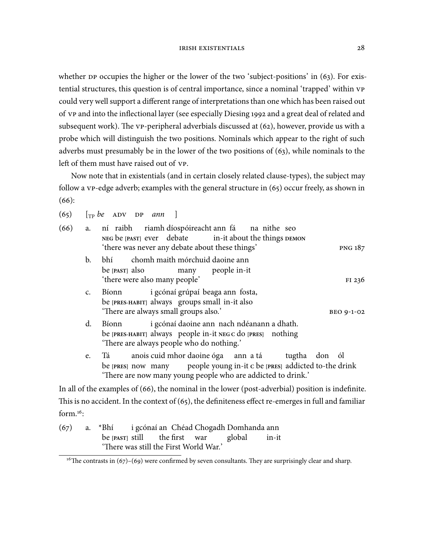whether  $DP$  occupies the higher or the lower of the two 'subject-positions' in (63). For existential structures, this question is of central importance, since a nominal 'trapped' within could very well support a different range of interpretations than one which has been raised out of vp and into the inflectional layer (see especially Diesing 1992 and a great deal of related and subsequent work). The  $VP$ -peripheral adverbials discussed at  $(62)$ , however, provide us with a probe which will distinguish the two positions. Nominals which appear to the right of such adverbs must presumably be in the lower of the two positions of  $(63)$ , while nominals to the left of them must have raised out of vp.

Now note that in existentials (and in certain closely related clause-types), the subject may follow a  $VP$ -edge adverb; examples with the general structure in  $(65)$  occur freely, as shown in  $(66):$ 

 $(65)$   $\lceil_{\text{TP}}$  be ADV DP ann  $\lceil$ 

| (66) |               | a. ní raibh riamh díospóireacht ann fá na nithe seo<br>NEG be [PAST] ever debate in-it about the things DEMON<br>'there was never any debate about these things'<br><b>PNG 187</b>                         |  |  |  |  |  |  |
|------|---------------|------------------------------------------------------------------------------------------------------------------------------------------------------------------------------------------------------------|--|--|--|--|--|--|
|      | b.            | chomh maith mórchuid daoine ann<br>bhí<br>be [PAST] also<br>many people in-it<br>'there were also many people'<br>FI 236                                                                                   |  |  |  |  |  |  |
|      | $C_{\bullet}$ | i gcónaí grúpaí beaga ann fosta,<br>Bíonn<br>be [PRES-HABIT] always groups small in-it also<br>'There are always small groups also.'<br>BEO 9-1-02                                                         |  |  |  |  |  |  |
|      | d.            | i gcónaí daoine ann nach ndéanann a dhath.<br>Bíonn<br>be [PRES-HABIT] always people in-it NEG c do [PRES] nothing<br>'There are always people who do nothing.'                                            |  |  |  |  |  |  |
|      | e.            | anois cuid mhor daoine óga ann a tá tugtha don ól<br>Tá también<br>be [PRES] now many people young in-it c be [PRES] addicted to-the drink<br>'There are now many young people who are addicted to drink.' |  |  |  |  |  |  |
|      |               | Let $\mathbb{R}$ be a supposed to $f(\zeta)$ the nominal in the leaves (need a discussion) negation is indefinite.                                                                                         |  |  |  |  |  |  |

In all of the examples of  $(66)$ , the nominal in the lower (post-adverbial) position is indefinite. This is no accident. In the context of  $(65)$ , the definiteness effect re-emerges in full and familiar form. $16$ :

 $(67)$  a. \*Bhí be **[PAST]** still i gcónaí an Chéad Chogadh Domhanda ann the first war global in-it 'There was still the First World War.'

<sup>&</sup>lt;sup>16</sup>The contrasts in  $(67)$ – $(69)$  were confirmed by seven consultants. They are surprisingly clear and sharp.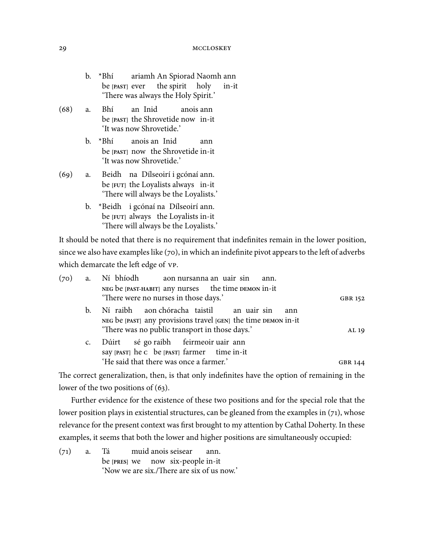- b. \*Bhí be **[PAST]** ever ariamh An Spiorad Naomh ann the spirit holy in-it 'There was always the Holy Spirit.'
- (68) a. Bhí be [PAST] the Shrovetide now in-it an Inid anois ann 'It was now Shrovetide.'
	- b. \*Bhí be **[PAST]** now the Shrovetide in-it anois an Inid ann 'It was now Shrovetide.'
- () a. Beidh na Dílseoirí i gcónaí ann. be **[FUT]** the Loyalists always in-it 'There will always be the Loyalists.'
	- b. \*Beidh i gcónaí na Dílseoirí ann. be **[FUT]** always the Loyalists in-it 'There will always be the Loyalists.'

It should be noted that there is no requirement that indefinites remain in the lower position, since we also have examples like  $(70)$ , in which an indefinite pivot appears to the left of adverbs which demarcate the left edge of  $VP$ .

| (70) | a. Ní bhíodh aon nursanna an uair sin ann.                                                                                                                              |                |
|------|-------------------------------------------------------------------------------------------------------------------------------------------------------------------------|----------------|
|      | NEG be [PAST-HABIT] any nurses the time DEMON in-it<br>'There were no nurses in those days.'                                                                            | GBR 152        |
|      | b. Ní raibh aon chóracha taistil an uair sin<br>ann<br>NEG be [PAST] any provisions travel [GEN] the time DEMON in-it<br>'There was no public transport in those days.' | AL 19          |
|      | c. Dúirt sé go raibh feirmeoir uair ann<br>say [PAST] he c be [PAST] farmer time in-it                                                                                  |                |
|      | 'He said that there was once a farmer.'                                                                                                                                 | <b>GBR 144</b> |

The correct generalization, then, is that only indefinites have the option of remaining in the lower of the two positions of  $(63)$ .

Further evidence for the existence of these two positions and for the special role that the lower position plays in existential structures, can be gleaned from the examples in  $(71)$ , whose relevance for the present context was first brought to my attention by Cathal Doherty. In these examples, it seems that both the lower and higher positions are simultaneously occupied:

 $(71)$  a. Tá be **[PRES]** we muid anois seisear now six-people in-it ann. 'Now we are six./There are six of us now.'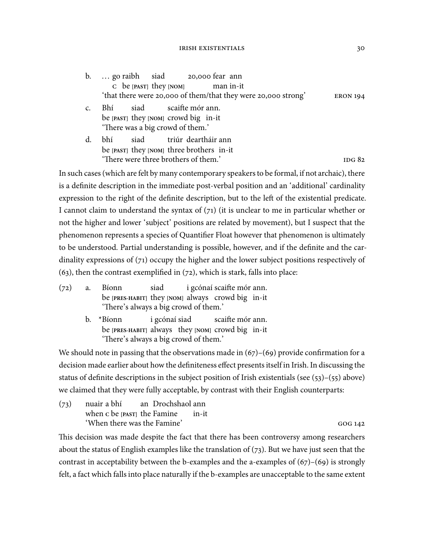#### IRISH EXISTENTIALS 30

b. ... go raibh be **[PAST]** they **[NOM]** siad 20,000 fear ann man in-it 'that there were 20,000 of them/that they were 20,000 strong' ERON 194

- c. Bhí be **[PAST]** they **[NOM]** crowd big in-it siad scaifte mór ann. 'There was a big crowd of them.'
- d. bhí be **[PAST]** they **[NOM]** three brothers in-it siad triúr deartháir ann 'There were three brothers of them.' The service is the service of the service in the service of the service is the service of the service in the service of the service of the service of the service of the service of the s

In such cases (which are felt by many contemporary speakers to be formal, if not archaic), there is a definite description in the immediate post-verbal position and an 'additional' cardinality expression to the right of the definite description, but to the left of the existential predicate. I cannot claim to understand the syntax of  $(71)$  (it is unclear to me in particular whether or not the higher and lower 'subject' positions are related by movement), but I suspect that the phenomenon represents a species of Quantifier Float however that phenomenon is ultimately to be understood. Partial understanding is possible, however, and if the definite and the cardinality expressions of  $(71)$  occupy the higher and the lower subject positions respectively of  $(63)$ , then the contrast exemplified in  $(72)$ , which is stark, falls into place:

- $(72)$  a. Bíonn be **[PRES-HABIT]** they **[NOM]** always crowd big in-it siad i gcónaí scaifte mór ann. 'There's always a big crowd of them.'
	- b. \*Bíonn be **[PRES-HABIT]** always they **[NOM]** crowd big in-it i gcónaí siad scaifte mór ann. 'There's always a big crowd of them.'

We should note in passing that the observations made in  $(67)$ – $(69)$  provide confirmation for a decision made earlier about how the definiteness effect presents itself in Irish. In discussing the status of definite descriptions in the subject position of Irish existentials (see  $(53)$ – $(55)$  above) we claimed that they were fully acceptable, by contrast with their English counterparts:

(73) nuair a bhí when **C** be **[PAST]** the Famine an Drochshaol ann in-it 'When there was the Famine'

This decision was made despite the fact that there has been controversy among researchers about the status of English examples like the translation of  $(73)$ . But we have just seen that the contrast in acceptability between the b-examples and the a-examples of  $(67)$ – $(69)$  is strongly felt, a fact which falls into place naturally if the b-examples are unacceptable to the same extent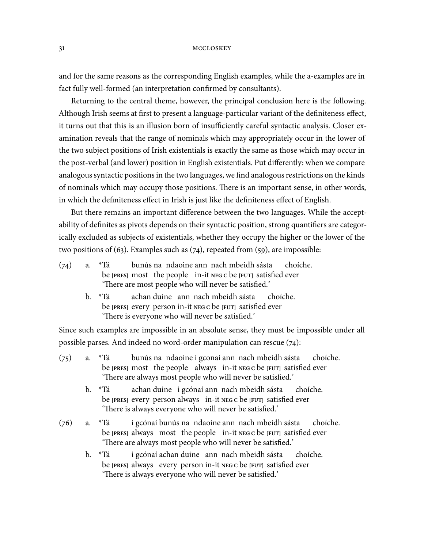and for the same reasons as the corresponding English examples, while the a-examples are in fact fully well-formed (an interpretation confirmed by consultants).

Returning to the central theme, however, the principal conclusion here is the following. Although Irish seems at first to present a language-particular variant of the definiteness effect, it turns out that this is an illusion born of insufficiently careful syntactic analysis. Closer examination reveals that the range of nominals which may appropriately occur in the lower of the two subject positions of Irish existentials is exactly the same as those which may occur in the post-verbal (and lower) position in English existentials. Put differently: when we compare analogous syntactic positions in the two languages, we find analogous restrictions on the kinds of nominals which may occupy those positions. There is an important sense, in other words, in which the definiteness effect in Irish is just like the definiteness effect of English.

But there remains an important difference between the two languages. While the acceptability of definites as pivots depends on their syntactic position, strong quantifiers are categorically excluded as subjects of existentials, whether they occupy the higher or the lower of the two positions of (63). Examples such as  $(74)$ , repeated from (59), are impossible:

| (74) | a. *Tá                                                         |  |  | bunús na ndaoine ann nach mbeidh sásta choíche. |  |  |  |  |  |
|------|----------------------------------------------------------------|--|--|-------------------------------------------------|--|--|--|--|--|
|      | be [PRES] most the people in-it $NEGC$ be [FUT] satisfied ever |  |  |                                                 |  |  |  |  |  |
|      | 'There are most people who will never be satisfied.'           |  |  |                                                 |  |  |  |  |  |

b. \*Tá be **[PRES]** every person in-it **NEG C** be **[FUT]** satisfied ever achan duine ann nach mbeidh sásta choíche. 'There is everyone who will never be satisfied.'

Since such examples are impossible in an absolute sense, they must be impossible under all possible parses. And indeed no word-order manipulation can rescue  $(74)$ :

- $(75)$  a. \*Tá be **[PRES]** most the people always in-it **NEG C** be **[FUT]** satisfied ever bunús na ndaoine i gconaí ann nach mbeidh sásta choíche. 'There are always most people who will never be satisfied.'
	- b. \*Tá be **[PRES]** every person always in-it **NEG C** be **[FUT]** satisfied ever achan duine i gcónaí ann nach mbeidh sásta choíche. 'There is always everyone who will never be satisfied.'
- $(76)$  a. \*Tá be **[PRES]** always most the people in-it **NEG C** be **[FUT]** satisfied ever i gcónaí bunús na ndaoine ann nach mbeidh sásta choíche. 'There are always most people who will never be satisfied.'
	- b. \*Tá be **[PRES]** always every person in-it **NEG C** be **[FUT]** satisfied ever i gcónaí achan duine ann nach mbeidh sásta choíche. 'There is always everyone who will never be satisfied.'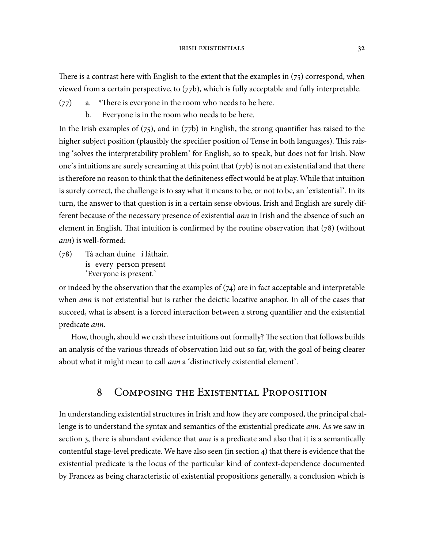There is a contrast here with English to the extent that the examples in  $(75)$  correspond, when viewed from a certain perspective, to  $(77b)$ , which is fully acceptable and fully interpretable.

- $(77)$  a. \*There is everyone in the room who needs to be here.
	- b. Everyone is in the room who needs to be here.

In the Irish examples of  $(75)$ , and in  $(77b)$  in English, the strong quantifier has raised to the higher subject position (plausibly the specifier position of Tense in both languages). This raising 'solves the interpretability problem' for English, so to speak, but does not for Irish. Now one's intuitions are surely screaming at this point that  $(77b)$  is not an existential and that there is therefore no reason to think that the definiteness effect would be at play. While that intuition is surely correct, the challenge is to say what it means to be, or not to be, an 'existential'. In its turn, the answer to that question is in a certain sense obvious. Irish and English are surely different because of the necessary presence of existential *ann* in Irish and the absence of such an element in English. That intuition is confirmed by the routine observation that  $(78)$  (without ann) is well-formed:

 $(78)$ is every person present achan duine i láthair. 'Everyone is present.'

or indeed by the observation that the examples of  $(74)$  are in fact acceptable and interpretable when *ann* is not existential but is rather the deictic locative anaphor. In all of the cases that succeed, what is absent is a forced interaction between a strong quantifier and the existential predicate ann.

How, though, should we cash these intuitions out formally? The section that follows builds an analysis of the various threads of observation laid out so far, with the goal of being clearer about what it might mean to call ann a 'distinctively existential element'.

## 8 COMPOSING THE EXISTENTIAL PROPOSITION

In understanding existential structures in Irish and how they are composed, the principal challenge is to understand the syntax and semantics of the existential predicate ann. As we saw in section 3, there is abundant evidence that *ann* is a predicate and also that it is a semantically contentful stage-level predicate. We have also seen (in section  $4$ ) that there is evidence that the existential predicate is the locus of the particular kind of context-dependence documented by Francez as being characteristic of existential propositions generally, a conclusion which is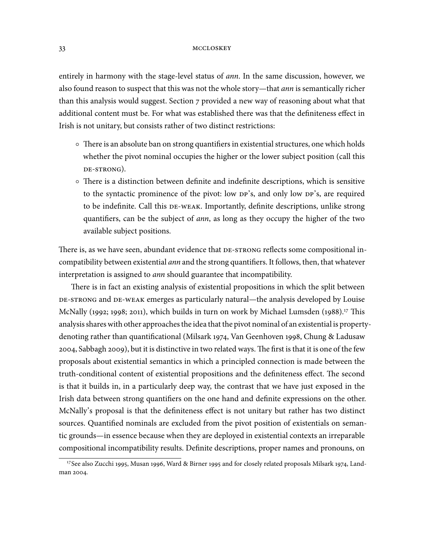entirely in harmony with the stage-level status of *ann*. In the same discussion, however, we also found reason to suspect that this was not the whole story—that ann is semantically richer than this analysis would suggest. Section  $7$  provided a new way of reasoning about what that additional content must be. For what was established there was that the definiteness effect in Irish is not unitary, but consists rather of two distinct restrictions:

- $\circ$  There is an absolute ban on strong quantifiers in existential structures, one which holds whether the pivot nominal occupies the higher or the lower subject position (call this DE-STRONG).
- There is a distinction between definite and indefinite descriptions, which is sensitive to the syntactic prominence of the pivot: low  $DP's$ , and only low  $DP's$ , are required to be indefinite. Call this DE-WEAK. Importantly, definite descriptions, unlike strong quantifiers, can be the subject of ann, as long as they occupy the higher of the two available subject positions.

There is, as we have seen, abundant evidence that DE-STRONG reflects some compositional incompatibility between existential ann and the strong quantifiers. It follows, then, that whatever interpretation is assigned to ann should guarantee that incompatibility.

There is in fact an existing analysis of existential propositions in which the split between DE-STRONG and DE-WEAK emerges as particularly natural—the analysis developed by Louise McNally (1992; 1998; 2011), which builds in turn on work by Michael Lumsden (1988).<sup>17</sup> This analysis shares with other approaches the idea that the pivot nominal of an existential is propertydenoting rather than quantificational (Milsark 1974, Van Geenhoven 1998, Chung & Ladusaw 2004, Sabbagh 2009), but it is distinctive in two related ways. The first is that it is one of the few proposals about existential semantics in which a principled connection is made between the truth-conditional content of existential propositions and the definiteness effect. The second is that it builds in, in a particularly deep way, the contrast that we have just exposed in the Irish data between strong quantifiers on the one hand and definite expressions on the other. McNally's proposal is that the definiteness effect is not unitary but rather has two distinct sources. Quantified nominals are excluded from the pivot position of existentials on semantic grounds—in essence because when they are deployed in existential contexts an irreparable compositional incompatibility results. Definite descriptions, proper names and pronouns, on

<sup>&</sup>lt;sup>17</sup>See also Zucchi 1995, Musan 1996, Ward & Birner 1995 and for closely related proposals Milsark 1974, Landman 2004.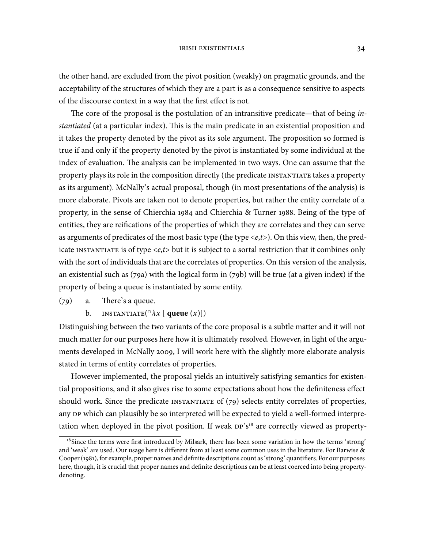the other hand, are excluded from the pivot position (weakly) on pragmatic grounds, and the acceptability of the structures of which they are a part is as a consequence sensitive to aspects of the discourse context in a way that the first effect is not.

The core of the proposal is the postulation of an intransitive predicate—that of being instantiated (at a particular index). This is the main predicate in an existential proposition and it takes the property denoted by the pivot as its sole argument. The proposition so formed is true if and only if the property denoted by the pivot is instantiated by some individual at the index of evaluation. The analysis can be implemented in two ways. One can assume that the property plays its role in the composition directly (the predicate INSTANTIATE takes a property as its argument). McNally's actual proposal, though (in most presentations of the analysis) is more elaborate. Pivots are taken not to denote properties, but rather the entity correlate of a property, in the sense of Chierchia 1984 and Chierchia & Turner 1988. Being of the type of entities, they are reifications of the properties of which they are correlates and they can serve as arguments of predicates of the most basic type (the type  $\langle e,t \rangle$ ). On this view, then, the predicate INSTANTIATE is of type  $\langle e,t \rangle$  but it is subject to a sortal restriction that it combines only with the sort of individuals that are the correlates of properties. On this version of the analysis, an existential such as  $(79a)$  with the logical form in  $(79b)$  will be true (at a given index) if the property of being a queue is instantiated by some entity.

- $(79)$  a. There's a queue.
	- b. INSTANTIATE( $\cap \lambda x$  [ **queue**  $(x)$ ])

Distinguishing between the two variants of the core proposal is a subtle matter and it will not much matter for our purposes here how it is ultimately resolved. However, in light of the arguments developed in McNally 2009, I will work here with the slightly more elaborate analysis stated in terms of entity correlates of properties.

However implemented, the proposal yields an intuitively satisfying semantics for existential propositions, and it also gives rise to some expectations about how the definiteness effect should work. Since the predicate  $\text{INSTANTIATE}$  of (79) selects entity correlates of properties, any DP which can plausibly be so interpreted will be expected to yield a well-formed interpretation when deployed in the pivot position. If weak DP's<sup>18</sup> are correctly viewed as property-

<sup>&</sup>lt;sup>18</sup> Since the terms were first introduced by Milsark, there has been some variation in how the terms 'strong' and 'weak' are used. Our usage here is different from at least some common uses in the literature. For Barwise & Cooper (1981), for example, proper names and definite descriptions count as 'strong' quantifiers. For our purposes here, though, it is crucial that proper names and definite descriptions can be at least coerced into being propertydenoting.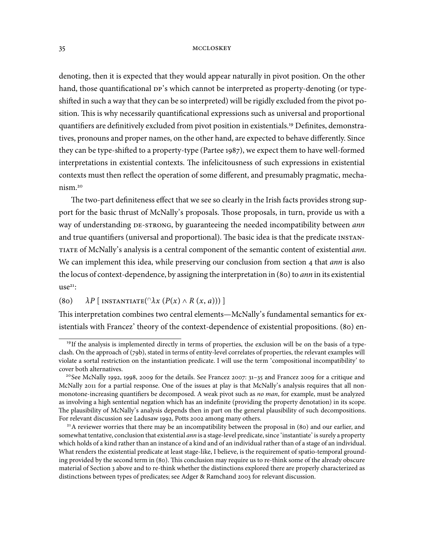denoting, then it is expected that they would appear naturally in pivot position. On the other hand, those quantificational  $DP's$  which cannot be interpreted as property-denoting (or typeshifted in such a way that they can be so interpreted) will be rigidly excluded from the pivot position. This is why necessarily quantificational expressions such as universal and proportional quantifiers are definitively excluded from pivot position in existentials.<sup>19</sup> Definites, demonstratives, pronouns and proper names, on the other hand, are expected to behave differently. Since they can be type-shifted to a property-type (Partee 1987), we expect them to have well-formed interpretations in existential contexts. The infelicitousness of such expressions in existential contexts must then reflect the operation of some different, and presumably pragmatic, mechanism.

The two-part definiteness effect that we see so clearly in the Irish facts provides strong support for the basic thrust of McNally's proposals. Those proposals, in turn, provide us with a way of understanding DE-STRONG, by guaranteeing the needed incompatibility between *ann* and true quantifiers (universal and proportional). The basic idea is that the predicate INSTAN-TIATE of McNally's analysis is a central component of the semantic content of existential ann. We can implement this idea, while preserving our conclusion from section 4 that ann is also the locus of context-dependence, by assigning the interpretation in  $(80)$  to *ann* in its existential  $use^{21}$ :

## (80)  $\lambda P$  [ INSTANTIATE( $\cap \lambda x$   $(P(x) \wedge R(x, a)))$  ]

This interpretation combines two central elements—McNally's fundamental semantics for existentials with Francez' theory of the context-dependence of existential propositions. (80) en-

<sup>&</sup>lt;sup>19</sup>If the analysis is implemented directly in terms of properties, the exclusion will be on the basis of a typeclash. On the approach of (79b), stated in terms of entity-level correlates of properties, the relevant examples will violate a sortal restriction on the instantiation predicate. I will use the term 'compositional incompatibility' to cover both alternatives.

<sup>&</sup>lt;sup>20</sup>See McNally 1992, 1998, 2009 for the details. See Francez 2007:  $31-35$  and Francez 2009 for a critique and McNally 2011 for a partial response. One of the issues at play is that McNally's analysis requires that all nonmonotone-increasing quantifiers be decomposed. A weak pivot such as no man, for example, must be analyzed as involving a high sentential negation which has an indefinite (providing the property denotation) in its scope. The plausibility of McNally's analysis depends then in part on the general plausibility of such decompositions. For relevant discussion see Ladusaw 1992, Potts 2002 among many others.

 $^{21}$ A reviewer worries that there may be an incompatibility between the proposal in (80) and our earlier, and somewhat tentative, conclusion that existential *ann* is a stage-level predicate, since 'instantiate' is surely a property which holds of a kind rather than an instance of a kind and of an individual rather than of a stage of an individual. What renders the existential predicate at least stage-like, I believe, is the requirement of spatio-temporal grounding provided by the second term in (80). This conclusion may require us to re-think some of the already obscure material of Section 3 above and to re-think whether the distinctions explored there are properly characterized as distinctions between types of predicates; see Adger & Ramchand 2003 for relevant discussion.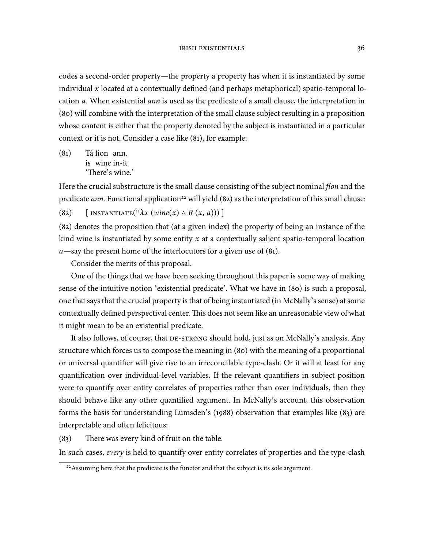codes a second-order property—the property a property has when it is instantiated by some individual  $x$  located at a contextually defined (and perhaps metaphorical) spatio-temporal location a. When existential ann is used as the predicate of a small clause, the interpretation in (80) will combine with the interpretation of the small clause subject resulting in a proposition whose content is either that the property denoted by the subject is instantiated in a particular context or it is not. Consider a case like  $(81)$ , for example:

 $(8<sub>1</sub>)$ is wine in-it fion ann. 'There's wine.'

Here the crucial substructure is the small clause consisting of the subject nominal *fion* and the predicate *ann*. Functional application<sup>22</sup> will yield (82) as the interpretation of this small clause:

(82) [INSTANTIATE( $\lceil \lambda x (\text{wire}(x) \land R(x, a)) \rceil$ ]

 $(82)$  denotes the proposition that (at a given index) the property of being an instance of the kind wine is instantiated by some entity  $x$  at a contextually salient spatio-temporal location  $a$ —say the present home of the interlocutors for a given use of (81).

Consider the merits of this proposal.

One of the things that we have been seeking throughout this paper is some way of making sense of the intuitive notion 'existential predicate'. What we have in (80) is such a proposal, one that says that the crucial property is that of being instantiated (in McNally's sense) at some contextually defined perspectival center. This does not seem like an unreasonable view of what it might mean to be an existential predicate.

It also follows, of course, that DE-STRONG should hold, just as on McNally's analysis. Any structure which forces us to compose the meaning in (80) with the meaning of a proportional or universal quantifier will give rise to an irreconcilable type-clash. Or it will at least for any quantification over individual-level variables. If the relevant quantifiers in subject position were to quantify over entity correlates of properties rather than over individuals, then they should behave like any other quantified argument. In McNally's account, this observation forms the basis for understanding Lumsden's (1988) observation that examples like  $(8<sub>3</sub>)$  are interpretable and often felicitous:

 $(83)$  There was every kind of fruit on the table.

In such cases, every is held to quantify over entity correlates of properties and the type-clash

<sup>&</sup>lt;sup>22</sup> Assuming here that the predicate is the functor and that the subject is its sole argument.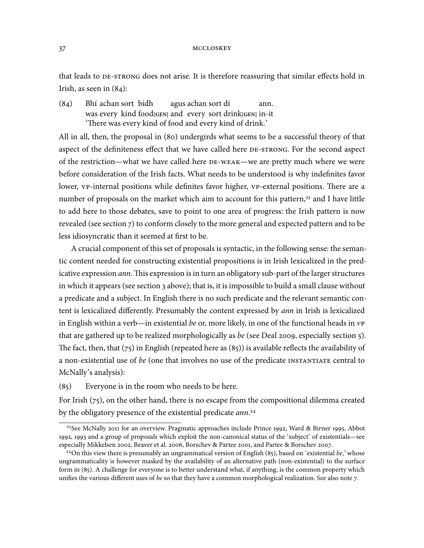that leads to DE-STRONG does not arise. It is therefore reassuring that similar effects hold in Irish, as seen in  $(84)$ :

#### $(84)$ was every kind food<sub>[GEN]</sub> and every sort drink<sup>[GEN]</sup> in-it achan sort bidh agus achan sort dí ann. 'There was every kind of food and every kind of drink.'

All in all, then, the proposal in (80) undergirds what seems to be a successful theory of that aspect of the definiteness effect that we have called here DE-STRONG. For the second aspect of the restriction—what we have called here DE-WEAK—we are pretty much where we were before consideration of the Irish facts. What needs to be understood is why indefinites favor lower, vp-internal positions while definites favor higher, vp-external positions. There are a number of proposals on the market which aim to account for this pattern,<sup>23</sup> and I have little to add here to those debates, save to point to one area of progress: the Irish pattern is now revealed (see section 7) to conform closely to the more general and expected pattern and to be less idiosyncratic than it seemed at first to be.

A crucial component of this set of proposals is syntactic, in the following sense: the semantic content needed for constructing existential propositions is in Irish lexicalized in the predicative expression ann. This expression is in turn an obligatory sub-part of the larger structures in which it appears (see section 3 above); that is, it is impossible to build a small clause without a predicate and a subject. In English there is no such predicate and the relevant semantic content is lexicalized differently. Presumably the content expressed by ann in Irish is lexicalized in English within a verb—in existential be or, more likely, in one of the functional heads in  $v_{P}$ that are gathered up to be realized morphologically as be (see Deal 2009, especially section  $\overline{5}$ ). The fact, then, that ( $75$ ) in English (repeated here as ( $85$ )) is available reflects the availability of a non-existential use of be (one that involves no use of the predicate INSTANTIATE central to McNally's analysis):

 $(85)$  Everyone is in the room who needs to be here.

For Irish  $(75)$ , on the other hand, there is no escape from the compositional dilemma created by the obligatory presence of the existential predicate ann.<sup>24</sup>

 $23$ See McNally 2011 for an overview. Pragmatic approaches include Prince 1992, Ward & Birner 1995, Abbot 1992, 1993 and a group of proposals which exploit the non-canonical status of the 'subject' of existentials—see especially Mikkelsen 2002, Beaver et al. 2006, Borschev & Partee 2001, and Partee & Borschev 2007.

<sup>&</sup>lt;sup>24</sup>On this view there is presumably an ungrammatical version of English (85), based on 'existential be,' whose ungrammaticality is however masked by the availability of an alternative path (non-existential) to the surface form in (85). A challenge for everyone is to better understand what, if anything, is the common property which unifies the various different uses of be so that they have a common morphological realization. See also note  $7$ .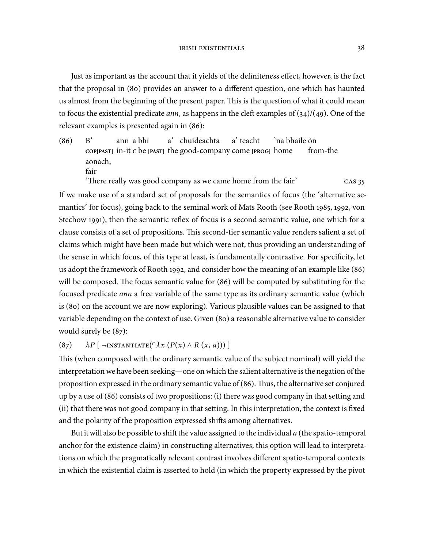Just as important as the account that it yields of the definiteness effect, however, is the fact that the proposal in (80) provides an answer to a different question, one which has haunted us almost from the beginning of the present paper. This is the question of what it could mean to focus the existential predicate *ann*, as happens in the cleft examples of  $(34)/(49)$ . One of the relevant examples is presented again in  $(86)$ :

 $(86)$  B' **COP[PAST]** in-it **C** be **[PAST]** the good-company come **[PROG]** home ann a bhí a' chuideachta a' teacht 'na bhaile ón from-the aonach, fair

'There really was good company as we came home from the fair' cas 35

If we make use of a standard set of proposals for the semantics of focus (the 'alternative semantics' for focus), going back to the seminal work of Mats Rooth (see Rooth 1985, 1992, von Stechow 1991), then the semantic reflex of focus is a second semantic value, one which for a clause consists of a set of propositions. This second-tier semantic value renders salient a set of claims which might have been made but which were not, thus providing an understanding of the sense in which focus, of this type at least, is fundamentally contrastive. For specificity, let us adopt the framework of Rooth 1992, and consider how the meaning of an example like  $(86)$ will be composed. The focus semantic value for (86) will be computed by substituting for the focused predicate ann a free variable of the same type as its ordinary semantic value (which is (80) on the account we are now exploring). Various plausible values can be assigned to that variable depending on the context of use. Given (80) a reasonable alternative value to consider would surely be  $(87)$ :

## (87)  $\lambda P$  [ ¬INSTANTIATE( $\lambda x (P(x) \wedge R (x, a)))$ ]

This (when composed with the ordinary semantic value of the subject nominal) will yield the interpretation we have been seeking—one on which the salient alternative is the negation of the proposition expressed in the ordinary semantic value of  $(86)$ . Thus, the alternative set conjured up by a use of  $(86)$  consists of two propositions: (i) there was good company in that setting and (ii) that there was not good company in that setting. In this interpretation, the context is fixed and the polarity of the proposition expressed shifts among alternatives.

But it will also be possible to shift the value assigned to the individual  $a$  (the spatio-temporal anchor for the existence claim) in constructing alternatives; this option will lead to interpretations on which the pragmatically relevant contrast involves different spatio-temporal contexts in which the existential claim is asserted to hold (in which the property expressed by the pivot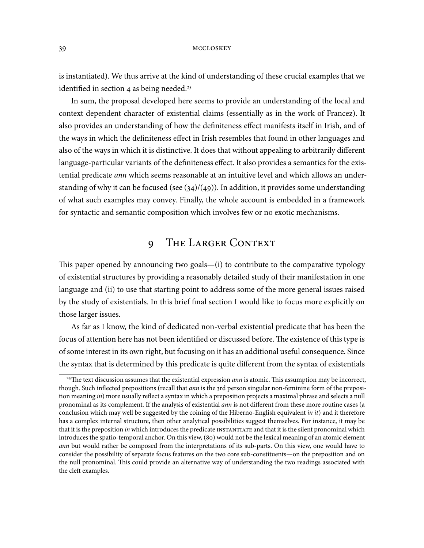is instantiated). We thus arrive at the kind of understanding of these crucial examples that we identified in section  $4$  as being needed.<sup>25</sup>

In sum, the proposal developed here seems to provide an understanding of the local and context dependent character of existential claims (essentially as in the work of Francez). It also provides an understanding of how the definiteness effect manifests itself in Irish, and of the ways in which the definiteness effect in Irish resembles that found in other languages and also of the ways in which it is distinctive. It does that without appealing to arbitrarily different language-particular variants of the definiteness effect. It also provides a semantics for the existential predicate ann which seems reasonable at an intuitive level and which allows an understanding of why it can be focused (see  $(34)/(49)$ ). In addition, it provides some understanding of what such examples may convey. Finally, the whole account is embedded in a framework for syntactic and semantic composition which involves few or no exotic mechanisms.

# 9 THE LARGER CONTEXT

This paper opened by announcing two goals— $(i)$  to contribute to the comparative typology of existential structures by providing a reasonably detailed study of their manifestation in one language and (ii) to use that starting point to address some of the more general issues raised by the study of existentials. In this brief final section I would like to focus more explicitly on those larger issues.

As far as I know, the kind of dedicated non-verbal existential predicate that has been the focus of attention here has not been identified or discussed before. The existence of this type is of some interest in its own right, but focusing on it has an additional useful consequence. Since the syntax that is determined by this predicate is quite different from the syntax of existentials

<sup>&</sup>lt;sup>25</sup>The text discussion assumes that the existential expression *ann* is atomic. This assumption may be incorrect, though. Such inflected prepositions (recall that ann is the 3rd person singular non-feminine form of the preposition meaning in) more usually reflect a syntax in which a preposition projects a maximal phrase and selects a null pronominal as its complement. If the analysis of existential *ann* is not different from these more routine cases (a conclusion which may well be suggested by the coining of the Hiberno-English equivalent in it) and it therefore has a complex internal structure, then other analytical possibilities suggest themselves. For instance, it may be that it is the preposition in which introduces the predicate INSTANTIATE and that it is the silent pronominal which introduces the spatio-temporal anchor. On this view, (80) would not be the lexical meaning of an atomic element ann but would rather be composed from the interpretations of its sub-parts. On this view, one would have to consider the possibility of separate focus features on the two core sub-constituents—on the preposition and on the null pronominal. This could provide an alternative way of understanding the two readings associated with the cleft examples.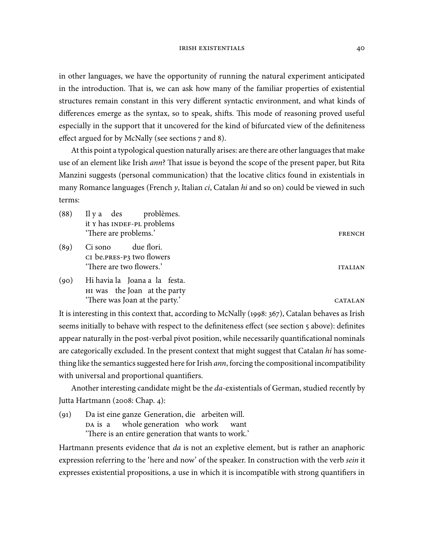in other languages, we have the opportunity of running the natural experiment anticipated in the introduction. That is, we can ask how many of the familiar properties of existential structures remain constant in this very different syntactic environment, and what kinds of differences emerge as the syntax, so to speak, shifts. This mode of reasoning proved useful especially in the support that it uncovered for the kind of bifurcated view of the definiteness effect argued for by McNally (see sections  $7$  and 8).

At this point a typological question naturally arises: are there are other languages that make use of an element like Irish *ann*? That issue is beyond the scope of the present paper, but Rita Manzini suggests (personal communication) that the locative clitics found in existentials in many Romance languages (French y, Italian  $ci$ , Catalan hi and so on) could be viewed in such terms:

| (88) | Il y a des problèmes.<br>it y has INDEF-PL problems<br>'There are problems.'                    | <b>FRENCH</b>  |
|------|-------------------------------------------------------------------------------------------------|----------------|
| (89) | due flori.<br>Ci sono<br>CI be.PRES-P3 two flowers<br>'There are two flowers.'                  | <b>ITALIAN</b> |
| (90) | Hi havia la Joana a la festa.<br>HI was the Joan at the party<br>'There was Joan at the party.' | CATALAN        |

It is interesting in this context that, according to McNally (1998: 367), Catalan behaves as Irish seems initially to behave with respect to the definiteness effect (see section 5 above): definites appear naturally in the post-verbal pivot position, while necessarily quantificational nominals are categorically excluded. In the present context that might suggest that Catalan hi has something like the semantics suggested here for Irish *ann*, forcing the compositional incompatibility with universal and proportional quantifiers.

Another interesting candidate might be the da-existentials of German, studied recently by Jutta Hartmann (2008: Chap. 4):

 $(q_1)$ DA is a ist eine ganze Generation, die arbeiten will. whole generation who work want 'There is an entire generation that wants to work.'

Hartmann presents evidence that *da* is not an expletive element, but is rather an anaphoric expression referring to the 'here and now' of the speaker. In construction with the verb sein it expresses existential propositions, a use in which it is incompatible with strong quantifiers in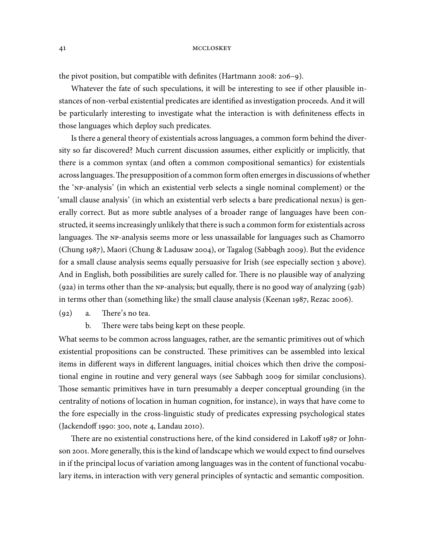the pivot position, but compatible with definites (Hartmann 2008: 206-9).

Whatever the fate of such speculations, it will be interesting to see if other plausible instances of non-verbal existential predicates are identified as investigation proceeds. And it will be particularly interesting to investigate what the interaction is with definiteness effects in those languages which deploy such predicates.

Is there a general theory of existentials across languages, a common form behind the diversity so far discovered? Much current discussion assumes, either explicitly or implicitly, that there is a common syntax (and often a common compositional semantics) for existentials across languages. The presupposition of a common form often emerges in discussions of whether the 'NP-analysis' (in which an existential verb selects a single nominal complement) or the 'small clause analysis' (in which an existential verb selects a bare predicational nexus) is generally correct. But as more subtle analyses of a broader range of languages have been constructed, it seems increasingly unlikely that there is such a common form for existentials across languages. The NP-analysis seems more or less unassailable for languages such as Chamorro (Chung 1987), Maori (Chung & Ladusaw 2004), or Tagalog (Sabbagh 2009). But the evidence for a small clause analysis seems equally persuasive for Irish (see especially section 3 above). And in English, both possibilities are surely called for. There is no plausible way of analyzing  $(g_{2a})$  in terms other than the NP-analysis; but equally, there is no good way of analyzing  $(g_{2b})$ in terms other than (something like) the small clause analysis (Keenan  $1987$ , Rezac 2006).

- $(q_2)$  a. There's no tea.
	- b. There were tabs being kept on these people.

What seems to be common across languages, rather, are the semantic primitives out of which existential propositions can be constructed. These primitives can be assembled into lexical items in different ways in different languages, initial choices which then drive the compositional engine in routine and very general ways (see Sabbagh 2009 for similar conclusions). Those semantic primitives have in turn presumably a deeper conceptual grounding (in the centrality of notions of location in human cognition, for instance), in ways that have come to the fore especially in the cross-linguistic study of predicates expressing psychological states (Jackendoff 1990: 300, note 4, Landau 2010).

There are no existential constructions here, of the kind considered in Lakoff  $1987$  or Johnson 2001. More generally, this is the kind of landscape which we would expect to find ourselves in if the principal locus of variation among languages was in the content of functional vocabulary items, in interaction with very general principles of syntactic and semantic composition.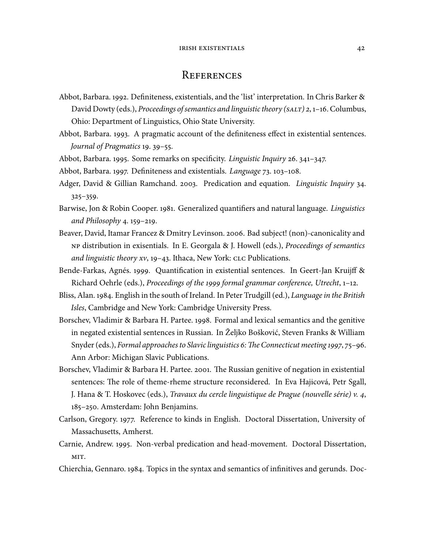### **REFERENCES**

- Abbot, Barbara. 1992. Definiteness, existentials, and the 'list' interpretation. In Chris Barker & David Dowty (eds.), Proceedings of semantics and linguistic theory ( $\text{SAT}$ ) 2, 1–16. Columbus, Ohio: Department of Linguistics, Ohio State University.
- Abbot, Barbara. 1993. A pragmatic account of the definiteness effect in existential sentences. Journal of Pragmatics 19. 39–55.
- Abbot, Barbara. 1995. Some remarks on specificity. *Linguistic Inquiry* 26. 341–347.
- Abbot, Barbara. 1997. Definiteness and existentials. Language 73. 103-108.
- Adger, David & Gillian Ramchand. 2003. Predication and equation. *Linguistic Inquiry* 34.  $325 - 359.$
- Barwise, Jon & Robin Cooper. 1981. Generalized quantifiers and natural language. *Linguistics* and Philosophy 4.  $159-219$ .
- Beaver, David, Itamar Francez & Dmitry Levinson. 2006. Bad subject! (non)-canonicality and distribution in exisentials. In E. Georgala & J. Howell (eds.), Proceedings of semantics and linguistic theory  $xy$ , 19-43. Ithaca, New York:  $\text{CLC}$  Publications.
- Bende-Farkas, Agnés. 1999. Quantification in existential sentences. In Geert-Jan Kruijff & Richard Oehrle (eds.), Proceedings of the 1999 formal grammar conference, Utrecht,  $1$ –12.
- Bliss, Alan. 1984. English in the south of Ireland. In Peter Trudgill (ed.), Language in the British Isles, Cambridge and New York: Cambridge University Press.
- Borschev, Vladimir & Barbara H. Partee. 1998. Formal and lexical semantics and the genitive in negated existential sentences in Russian. In Željko Bošković, Steven Franks & William Snyder (eds.), Formal approaches to Slavic linguistics  $6$ : The Connecticut meeting 1997, 75–96. Ann Arbor: Michigan Slavic Publications.
- Borschev, Vladimir & Barbara H. Partee. 2001. The Russian genitive of negation in existential sentences: The role of theme-rheme structure reconsidered. In Eva Hajicová, Petr Sgall, J. Hana & T. Hoskovec (eds.), *Travaux du cercle linguistique de Prague (nouvelle série)*  $v$ . 4, 185-250. Amsterdam: John Benjamins.
- Carlson, Gregory. 1977. Reference to kinds in English. Doctoral Dissertation, University of Massachusetts, Amherst.
- Carnie, Andrew. 1995. Non-verbal predication and head-movement. Doctoral Dissertation, MIT.
- Chierchia, Gennaro. 1984. Topics in the syntax and semantics of infinitives and gerunds. Doc-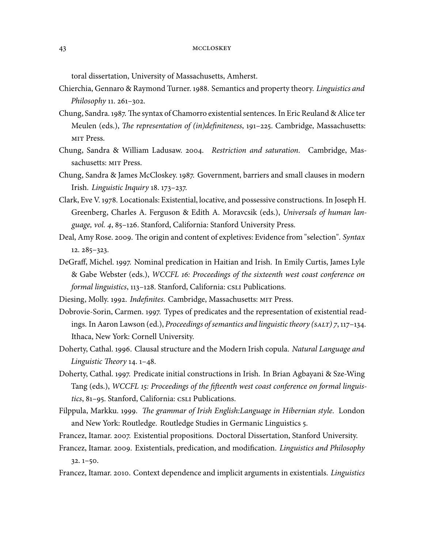toral dissertation, University of Massachusetts, Amherst.

- Chierchia, Gennaro & Raymond Turner. 1988. Semantics and property theory. Linguistics and Philosophy  $11.261 - 302.$
- Chung, Sandra. 1987. The syntax of Chamorro existential sentences. In Eric Reuland & Alice ter Meulen (eds.), The representation of (in)definiteness, 191-225. Cambridge, Massachusetts: MIT Press.
- Chung, Sandra & William Ladusaw. 2004. Restriction and saturation. Cambridge, Massachusetts: MIT Press.
- Chung, Sandra & James McCloskey. 1987. Government, barriers and small clauses in modern Irish. Linguistic Inquiry  $18.173 - 237$ .
- Clark, Eve V. 1978. Locationals: Existential, locative, and possessive constructions. In Joseph H. Greenberg, Charles A. Ferguson & Edith A. Moravcsik (eds.), Universals of human language, vol. 4, 85-126. Stanford, California: Stanford University Press.
- Deal, Amy Rose. 2009. The origin and content of expletives: Evidence from "selection". Syntax  $12.285 - 323.$
- DeGraff, Michel. 1997. Nominal predication in Haitian and Irish. In Emily Curtis, James Lyle & Gabe Webster (eds.), WCCFL 16: Proceedings of the sixteenth west coast conference on formal linguistics, 113-128. Stanford, California: CSLI Publications.
- Diesing, Molly. 1992. Indefinites. Cambridge, Massachusetts: MIT Press.
- Dobrovie-Sorin, Carmen. 1997. Types of predicates and the representation of existential readings. In Aaron Lawson (ed.), Proceedings of semantics and linguistic theory ( $\text{SAT}$ ) 7, 117–134. Ithaca, New York: Cornell University.
- Doherty, Cathal. 1996. Clausal structure and the Modern Irish copula. Natural Language and Linguistic Theory  $14.1 - 48$ .
- Doherty, Cathal. 1997. Predicate initial constructions in Irish. In Brian Agbayani & Sze-Wing Tang (eds.), WCCFL 15: Proceedings of the fifteenth west coast conference on formal linguistics, 81-95. Stanford, California: CSLI Publications.
- Filppula, Markku. 1999. The grammar of Irish English:Language in Hibernian style. London and New York: Routledge. Routledge Studies in Germanic Linguistics 5.
- Francez, Itamar. 2007. Existential propositions. Doctoral Dissertation, Stanford University.
- Francez, Itamar. 2009. Existentials, predication, and modification. *Linguistics and Philosophy*  $32.1 - 50.$
- Francez, Itamar. 2010. Context dependence and implicit arguments in existentials. *Linguistics*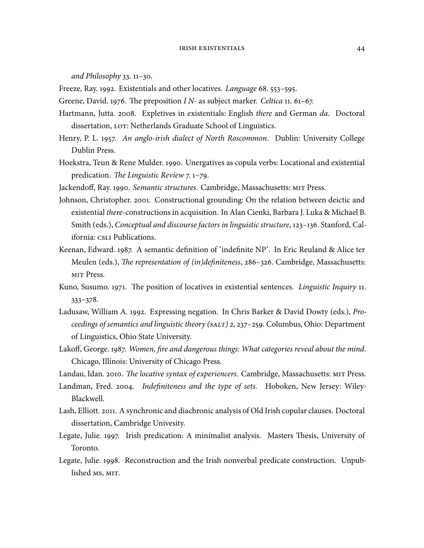and Philosophy  $33.11-30.$ 

Freeze, Ray. 1992. Existentials and other locatives. Language 68. 553-595.

- Greene, David. 1976. The preposition  $IN$  as subject marker. Celtica 11. 61–67.
- Hartmann, Jutta. 2008. Expletives in existentials: English there and German da. Doctoral dissertation, LOT: Netherlands Graduate School of Linguistics.
- Henry, P. L. 1957. An anglo-irish dialect of North Roscommon. Dublin: University College Dublin Press.
- Hoekstra, Teun & Rene Mulder. 1990. Unergatives as copula verbs: Locational and existential predication. The Linguistic Review  $7.1-79$ .
- Jackendoff, Ray. 1990. Semantic structures. Cambridge, Massachusetts: MIT Press.
- Johnson, Christopher. 2001. Constructional grounding: On the relation between deictic and existential there-constructions in acquisition. In Alan Cienki, Barbara J. Luka & Michael B. Smith (eds.), Conceptual and discourse factors in linguistic structure, 123-136. Stanford, California: CSLI Publications.
- Keenan, Edward. 1987. A semantic definition of 'indefinite NP'. In Eric Reuland & Alice ter Meulen (eds.), The representation of (in)definiteness, 286-326. Cambridge, Massachusetts: MIT Press.
- Kuno, Susumo. 1971. The position of locatives in existential sentences. Linguistic Inquiry 11.  $333 - 378.$
- Ladusaw, William A. 1992. Expressing negation. In Chris Barker & David Dowty (eds.), Proceedings of semantics and linguistic theory ( $\text{SAT}$ ) 2, 237–259. Columbus, Ohio: Department of Linguistics, Ohio State University.
- Lakoff, George. 1987. Women, fire and dangerous things: What categories reveal about the mind. Chicago, Illinois: University of Chicago Press.

Landau, Idan. 2010. The locative syntax of experiencers. Cambridge, Massachusetts: MIT Press.

- Landman, Fred. 2004. Indefiniteness and the type of sets. Hoboken, New Jersey: Wiley-Blackwell.
- Lash, Elliott. 2011. A synchronic and diachronic analysis of Old Irish copular clauses. Doctoral dissertation, Cambridge Univesity.
- Legate, Julie. 1997. Irish predication: A minimalist analysis. Masters Thesis, University of Toronto.
- Legate, Julie. 1998. Reconstruction and the Irish nonverbal predicate construction. Unpublished MS, MIT.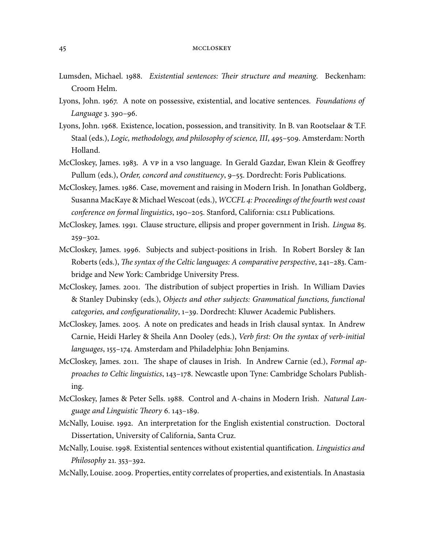- Lumsden, Michael. 1988. Existential sentences: Their structure and meaning. Beckenham: Croom Helm.
- Lyons, John. 1967. A note on possessive, existential, and locative sentences. Foundations of Language 3. 390-96.
- Lyons, John. 1968. Existence, location, possession, and transitivity. In B. van Rootselaar & T.F. Staal (eds.), Logic, methodology, and philosophy of science, III, 495-509. Amsterdam: North Holland.
- McCloskey, James. 1983. A vp in a vso language. In Gerald Gazdar, Ewan Klein & Geoffrey Pullum (eds.), Order, concord and constituency, 9-55. Dordrecht: Foris Publications.
- McCloskey, James. 1986. Case, movement and raising in Modern Irish. In Jonathan Goldberg, Susanna MacKaye & Michael Wescoat (eds.), WCCFL 4: Proceedings of the fourth west coast conference on formal linguistics, 190-205. Stanford, California: CSLI Publications.
- McCloskey, James. 1991. Clause structure, ellipsis and proper government in Irish. Lingua 85.  $259 - 302.$
- McCloskey, James. 1996. Subjects and subject-positions in Irish. In Robert Borsley & Ian Roberts (eds.), The syntax of the Celtic languages: A comparative perspective, 241-283. Cambridge and New York: Cambridge University Press.
- McCloskey, James. 2001. The distribution of subject properties in Irish. In William Davies & Stanley Dubinsky (eds.), Objects and other subjects: Grammatical functions, functional categories, and configurationality, 1-39. Dordrecht: Kluwer Academic Publishers.
- McCloskey, James. 2005. A note on predicates and heads in Irish clausal syntax. In Andrew Carnie, Heidi Harley & Sheila Ann Dooley (eds.), Verb first: On the syntax of verb-initial languages, 155-174. Amsterdam and Philadelphia: John Benjamins.
- McCloskey, James. 2011. The shape of clauses in Irish. In Andrew Carnie (ed.), Formal approaches to Celtic linguistics, 143-178. Newcastle upon Tyne: Cambridge Scholars Publishing.
- McCloskey, James & Peter Sells. 1988. Control and A-chains in Modern Irish. Natural Language and Linguistic Theory 6. 143–189.
- McNally, Louise. 1992. An interpretation for the English existential construction. Doctoral Dissertation, University of California, Santa Cruz.
- McNally, Louise. 1998. Existential sentences without existential quantification. *Linguistics and* Philosophy 21.  $353-392$ .
- McNally, Louise. 2009. Properties, entity correlates of properties, and existentials. In Anastasia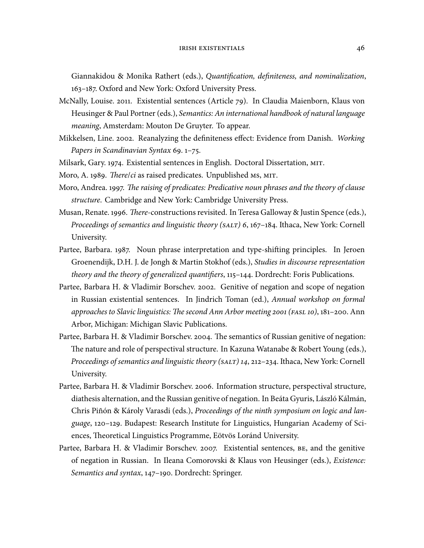Giannakidou & Monika Rathert (eds.), Quantification, definiteness, and nominalization, 163-187. Oxford and New York: Oxford University Press.

- McNally, Louise. 2011. Existential sentences (Article 79). In Claudia Maienborn, Klaus von Heusinger & Paul Portner (eds.), Semantics: An international handbook of natural language meaning, Amsterdam: Mouton De Gruyter. To appear.
- Mikkelsen, Line. 2002. Reanalyzing the definiteness effect: Evidence from Danish. Working Papers in Scandinavian Syntax 69.  $1-75$ .
- Milsark, Gary. 1974. Existential sentences in English. Doctoral Dissertation, MIT.
- Moro, A. 1989. There/ci as raised predicates. Unpublished MS, MIT.
- Moro, Andrea. 1997. The raising of predicates: Predicative noun phrases and the theory of clause structure. Cambridge and New York: Cambridge University Press.
- Musan, Renate. 1996. *There-constructions revisited.* In Teresa Galloway & Justin Spence (eds.), Proceedings of semantics and linguistic theory ( $SALT$ ) 6,  $167-184$ . Ithaca, New York: Cornell University.
- Partee, Barbara. 1987. Noun phrase interpretation and type-shifting principles. In Jeroen Groenendijk, D.H. J. de Jongh & Martin Stokhof (eds.), Studies in discourse representation theory and the theory of generalized quantifiers,  $115-144$ . Dordrecht: Foris Publications.
- Partee, Barbara H. & Vladimir Borschev. 2002. Genitive of negation and scope of negation in Russian existential sentences. In Jindrich Toman (ed.), Annual workshop on formal approaches to Slavic linguistics: The second Ann Arbor meeting 2001 (FASL 10), 181-200. Ann Arbor, Michigan: Michigan Slavic Publications.
- Partee, Barbara H. & Vladimir Borschev. 2004. The semantics of Russian genitive of negation: The nature and role of perspectival structure. In Kazuna Watanabe & Robert Young (eds.), Proceedings of semantics and linguistic theory (SALT) 14, 212-234. Ithaca, New York: Cornell University.
- Partee, Barbara H. & Vladimir Borschev. 2006. Information structure, perspectival structure, diathesis alternation, and the Russian genitive of negation. In Beáta Gyuris, László Kálmán, Chris Piñón & Károly Varasdi (eds.), Proceedings of the ninth symposium on logic and language, 120–129. Budapest: Research Institute for Linguistics, Hungarian Academy of Sciences, Theoretical Linguistics Programme, Eötvös Loránd University.
- Partee, Barbara H. & Vladimir Borschev. 2007. Existential sentences, BE, and the genitive of negation in Russian. In Ileana Comorovski & Klaus von Heusinger (eds.), Existence: Semantics and syntax, 147-190. Dordrecht: Springer.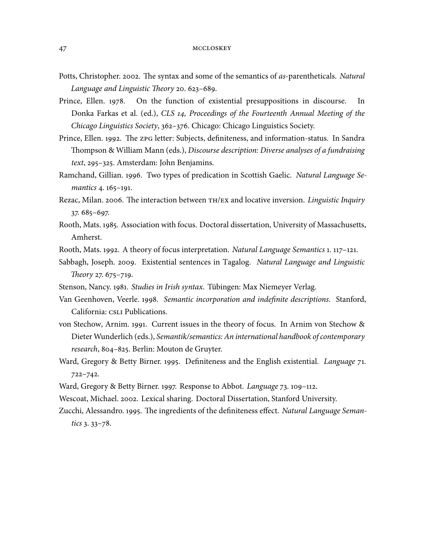- Potts, Christopher. 2002. The syntax and some of the semantics of as-parentheticals. Natural Language and Linguistic Theory 20. 623–689.
- Prince, Ellen. 1978. On the function of existential presuppositions in discourse. In Donka Farkas et al. (ed.), CLS 14, Proceedings of the Fourteenth Annual Meeting of the Chicago Linguistics Society, 362-376. Chicago: Chicago Linguistics Society.
- Prince, Ellen. 1992. The zpG letter: Subjects, definiteness, and information-status. In Sandra Thompson & William Mann (eds.), Discourse description: Diverse analyses of a fundraising  $text, 295-325. Amsterdam: John Benjamins.$
- Ramchand, Gillian. 1996. Two types of predication in Scottish Gaelic. Natural Language Semantics 4. 165-191.
- Rezac, Milan. 2006. The interaction between TH/EX and locative inversion. Linguistic Inquiry  $37.685 - 697.$
- Rooth, Mats. 1985. Association with focus. Doctoral dissertation, University of Massachusetts, Amherst.
- Rooth, Mats. 1992. A theory of focus interpretation. Natural Language Semantics 1. 117–121.
- Sabbagh, Joseph. 2009. Existential sentences in Tagalog. Natural Language and Linguistic Theory 27.  $675 - 719$ .
- Stenson, Nancy. 1981. Studies in Irish syntax. Tübingen: Max Niemeyer Verlag.
- Van Geenhoven, Veerle. 1998. Semantic incorporation and indefinite descriptions. Stanford, California: CSLI Publications.
- von Stechow, Arnim. 1991. Current issues in the theory of focus. In Arnim von Stechow & Dieter Wunderlich (eds.), Semantik/semantics: An international handbook of contemporary research, 804-825. Berlin: Mouton de Gruyter.
- Ward, Gregory & Betty Birner. 1995. Definiteness and the English existential. Language 71.  $722 - 742.$
- Ward, Gregory & Betty Birner. 1997. Response to Abbot. Language 73. 109-112.
- Wescoat, Michael. 2002. Lexical sharing. Doctoral Dissertation, Stanford University.
- Zucchi, Alessandro. 1995. The ingredients of the definiteness effect. Natural Language Seman $tics$  3. 33–78.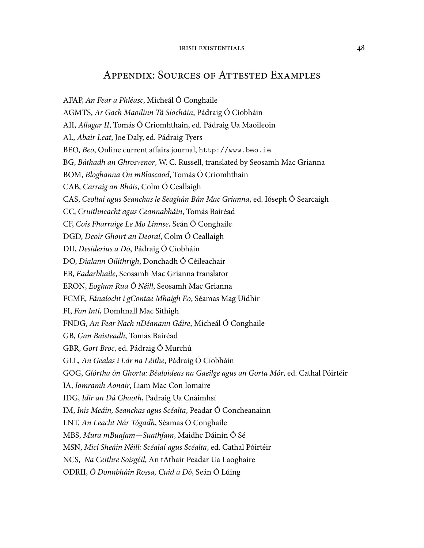# **APPENDIX: SOURCES OF ATTESTED EXAMPLES**

AFAP, An Fear a Phléasc, Mícheál Ó Conghaile AGMTS, Ar Gach Maoilinn Tá Síocháin, Pádraig Ó Cíobháin AII, Allagar II, Tomás Ó Criomhthain, ed. Pádraig Ua Maoileoin AL, Abair Leat, Joe Daly, ed. Pádraig Tyers BEO, Beo, Online current affairs journal, http://www.beo.ie BG, Báthadh an Ghrosvenor, W. C. Russell, translated by Seosamh Mac Grianna BOM, Bloghanna Ón mBlascaod, Tomás Ó Criomhthain CAB, Carraig an Bháis, Colm Ó Ceallaigh CAS, Ceoltaí agus Seanchas le Seaghán Bán Mac Grianna, ed. Ióseph Ó Searcaigh CC, Cruithneacht agus Ceannabháin, Tomás Bairéad CF, Cois Fharraige Le Mo Linnse, Seán Ó Conghaile DGD, Deoir Ghoirt an Deoraí, Colm Ó Ceallaigh DII, Desiderius a Dó, Pádraig Ó Cíobháin DO, Dialann Oilithrigh, Donchadh Ó Céileachair EB, Eadarbhaile, Seosamh Mac Grianna translator ERON, Eoghan Rua Ó Néill, Seosamh Mac Grianna FCME, Fánaíocht i gContae Mhaigh Eo, Séamas Mag Uidhir FI, Fan Inti, Domhnall Mac Síthigh FNDG, An Fear Nach nDéanann Gáire, Micheál Ó Conghaile GB, Gan Baisteadh, Tomás Bairéad GBR, Gort Broc, ed. Pádraig Ó Murchú GLL, An Gealas i Lár na Léithe, Pádraig Ó Cíobháin GOG, Glórtha ón Ghorta: Béaloideas na Gaeilge agus an Gorta Mór, ed. Cathal Póirtéir IA, Iomramh Aonair, Liam Mac Con Iomaire IDG, Idir an Dá Ghaoth, Pádraig Ua Cnáimhsí IM, Inis Meáin, Seanchas agus Scéalta, Peadar Ó Concheanainn LNT, An Leacht Nár Tógadh, Séamas Ó Conghaile MBS, Mura mBuafam—Suathfam, Maidhc Dáinín Ó Sé MSN, Micí Sheáin Néill: Scéalaí agus Scéalta, ed. Cathal Póirtéir NCS, Na Ceithre Soisgéil, An tAthair Peadar Ua Laoghaire ODRII, Ó Donnbháin Rossa, Cuid a Dó, Seán Ó Lúing